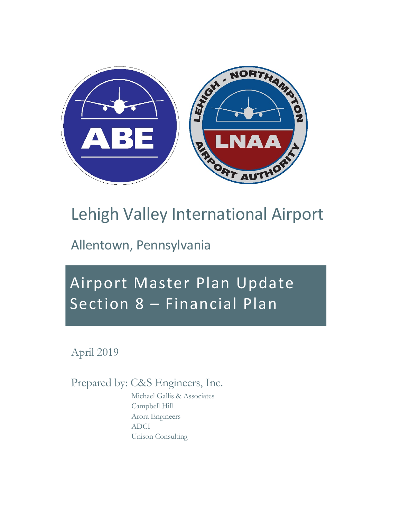

# Lehigh Valley International Airport

Allentown, Pennsylvania

# Airport Master Plan Update Section 8 – Financial Plan

April 2019

Prepared by: C&S Engineers, Inc.

Michael Gallis & Associates Campbell Hill Arora Engineers ADCI Unison Consulting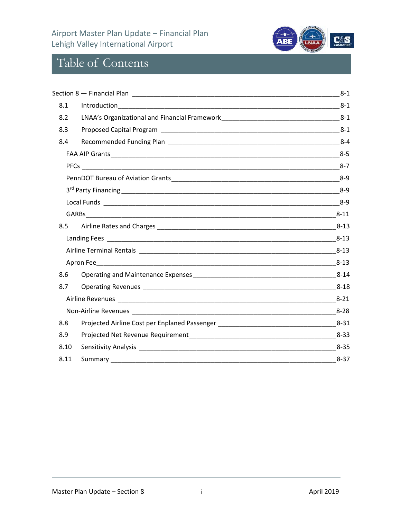#### Airport Master Plan Update – Financial Plan Lehigh Valley International Airport



## Table of Contents

|      |                                                                                                                 | $8 - 1$  |
|------|-----------------------------------------------------------------------------------------------------------------|----------|
| 8.1  |                                                                                                                 |          |
| 8.2  |                                                                                                                 |          |
| 8.3  | Proposed Capital Program 2008 2009 10:00 10:00 10:00 10:00 10:00 10:00 10:00 10:00 10:00 10:00 10:00 10:00 10:0 |          |
| 8.4  |                                                                                                                 |          |
|      |                                                                                                                 |          |
|      |                                                                                                                 |          |
|      |                                                                                                                 |          |
|      |                                                                                                                 |          |
|      |                                                                                                                 |          |
|      |                                                                                                                 |          |
| 8.5  |                                                                                                                 |          |
|      |                                                                                                                 |          |
|      |                                                                                                                 | $8 - 13$ |
|      |                                                                                                                 | $8-13$   |
| 8.6  |                                                                                                                 |          |
| 8.7  |                                                                                                                 | $8 - 18$ |
|      |                                                                                                                 |          |
|      |                                                                                                                 |          |
| 8.8  |                                                                                                                 |          |
| 8.9  |                                                                                                                 |          |
| 8.10 |                                                                                                                 |          |
| 8.11 | Summary_                                                                                                        | $8 - 37$ |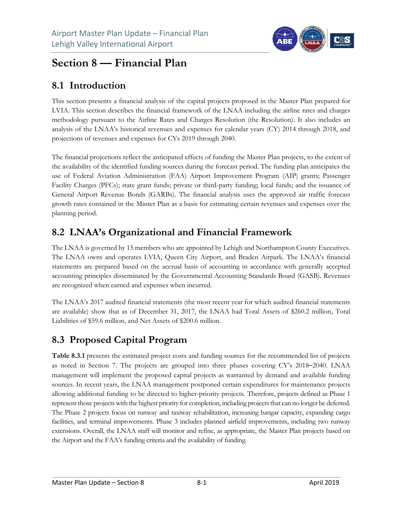

## **Section 8 — Financial Plan**

#### **8.1 Introduction**

This section presents a financial analysis of the capital projects proposed in the Master Plan prepared for LVIA. This section describes the financial framework of the LNAA including the airline rates and charges methodology pursuant to the Airline Rates and Charges Resolution (the Resolution). It also includes an analysis of the LNAA's historical revenues and expenses for calendar years (CY) 2014 through 2018, and projections of revenues and expenses for CYs 2019 through 2040.

The financial projections reflect the anticipated effects of funding the Master Plan projects, to the extent of the availability of the identified funding sources during the forecast period. The funding plan anticipates the use of Federal Aviation Administration (FAA) Airport Improvement Program (AIP) grants; Passenger Facility Charges (PFCs); state grant funds; private or third-party funding; local funds; and the issuance of General Airport Revenue Bonds (GARBs). The financial analysis uses the approved air traffic forecast growth rates contained in the Master Plan as a basis for estimating certain revenues and expenses over the planning period.

#### **8.2 LNAA's Organizational and Financial Framework**

The LNAA is governed by 15 members who are appointed by Lehigh and Northampton County Executives. The LNAA owns and operates LVIA, Queen City Airport, and Braden Airpark. The LNAA's financial statements are prepared based on the accrual basis of accounting in accordance with generally accepted accounting principles disseminated by the Governmental Accounting Standards Board (GASB). Revenues are recognized when earned and expenses when incurred.

The LNAA's 2017 audited financial statements (the most recent year for which audited financial statements are available) show that as of December 31, 2017, the LNAA had Total Assets of \$260.2 million, Total Liabilities of \$59.6 million, and Net Assets of \$200.6 million.

## **8.3 Proposed Capital Program**

**Table 8.3.1** presents the estimated project costs and funding sources for the recommended list of projects as noted in Section 7. The projects are grouped into three phases covering CY's 2018–2040. LNAA management will implement the proposed capital projects as warranted by demand and available funding sources. In recent years, the LNAA management postponed certain expenditures for maintenance projects allowing additional funding to be directed to higher-priority projects. Therefore, projects defined as Phase 1 represent those projects with the highest priority for completion, including projects that can no longer be deferred. The Phase 2 projects focus on runway and taxiway rehabilitation, increasing hangar capacity, expanding cargo facilities, and terminal improvements. Phase 3 includes planned airfield improvements, including two runway extensions. Overall, the LNAA staff will monitor and refine, as appropriate, the Master Plan projects based on the Airport and the FAA's funding criteria and the availability of funding.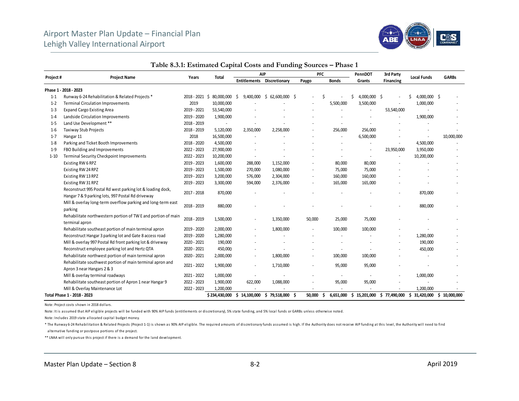

|          |                                                                                                                 |                  |               |                  | <b>AIP</b>                        |              | PFC          |    | PennDOT                  | 3rd Party    |                    |                  |
|----------|-----------------------------------------------------------------------------------------------------------------|------------------|---------------|------------------|-----------------------------------|--------------|--------------|----|--------------------------|--------------|--------------------|------------------|
| Project# | <b>Project Name</b>                                                                                             | Years            | Total         |                  | <b>Entitlements Discretionary</b> | Paygo        | <b>Bonds</b> |    | Grants                   | Financing    | <b>Local Funds</b> | <b>GARBs</b>     |
|          | Phase 1 - 2018 - 2023                                                                                           |                  |               |                  |                                   |              |              |    |                          |              |                    |                  |
| $1 - 1$  | Runway 6-24 Rehabilitation & Related Projects *                                                                 | $2018 - 2021$ \$ | 80,000,000    | 9,400,000<br>-S  | \$62,600,000\$                    |              |              | Š. | 4,000,000 \$             |              | 4,000,000 \$<br>ς  |                  |
| $1 - 2$  | <b>Terminal Circulation Improvements</b>                                                                        | 2019             | 10,000,000    |                  |                                   |              | 5,500,000    |    | 3,500,000                |              | 1,000,000          |                  |
| $1 - 3$  | <b>Expand Cargo Existing Area</b>                                                                               | 2019 - 2021      | 53,540,000    |                  |                                   |              |              |    |                          | 53,540,000   |                    |                  |
| $1 - 4$  | Landside Circulation Improvements                                                                               | 2019 - 2020      | 1,900,000     |                  |                                   |              |              |    |                          |              | 1,900,000          |                  |
| $1 - 5$  | Land Use Development **                                                                                         | 2018 - 2019      |               |                  |                                   |              |              |    |                          |              |                    |                  |
| $1 - 6$  | Taxiway Stub Projects                                                                                           | 2018 - 2019      | 5,120,000     | 2,350,000        | 2,258,000                         |              | 256,000      |    | 256,000                  |              |                    |                  |
| $1 - 7$  | Hangar 11                                                                                                       | 2018             | 16,500,000    |                  |                                   |              |              |    | 6,500,000                |              |                    | 10,000,000       |
| $1 - 8$  | Parking and Ticket Booth Improvements                                                                           | 2018 - 2020      | 4,500,000     |                  |                                   |              |              |    |                          |              | 4,500,000          |                  |
| $1 - 9$  | FBO Building and Improvements                                                                                   | 2022 - 2023      | 27,900,000    |                  |                                   |              |              |    | $\overline{\phantom{a}}$ | 23,950,000   | 3,950,000          |                  |
| $1 - 10$ | Terminal Security Checkpoint Improvements                                                                       | 2022 - 2023      | 10,200,000    |                  |                                   |              |              |    | $\overline{\phantom{a}}$ | ٠            | 10,200,000         |                  |
|          | Existing RW 6 RPZ                                                                                               | 2019 - 2023      | 1,600,000     | 288,000          | 1,152,000                         |              | 80,000       |    | 80,000                   |              |                    |                  |
|          | Existing RW 24 RPZ                                                                                              | 2019 - 2023      | 1,500,000     | 270,000          | 1,080,000                         |              | 75,000       |    | 75,000                   |              |                    |                  |
|          | Existing RW 13 RPZ                                                                                              | 2019 - 2023      | 3,200,000     | 576,000          | 2,304,000                         |              | 160,000      |    | 160,000                  |              |                    |                  |
|          | Existing RW 31 RPZ                                                                                              | 2019 - 2023      | 3,300,000     | 594,000          | 2,376,000                         |              | 165,000      |    | 165,000                  |              |                    |                  |
|          | Reconstruct 995 Postal Rd west parking lot & loading dock,<br>Hangar 7 & 9 parking lots, 997 Postal Rd driveway | 2017 - 2018      | 870,000       |                  |                                   |              |              |    |                          |              | 870,000            |                  |
|          | Mill & overlay long-term overflow parking and long-term east<br>parking                                         | 2018 - 2019      | 880,000       |                  |                                   |              |              |    |                          |              | 880,000            |                  |
|          | Rehabilitate northwestern portion of TW E and portion of main<br>terminal apron                                 | 2018 - 2019      | 1,500,000     |                  | 1,350,000                         | 50,000       | 25,000       |    | 75,000                   |              |                    |                  |
|          | Rehabilitate southeast portion of main terminal apron                                                           | 2019 - 2020      | 2,000,000     |                  | 1,800,000                         |              | 100,000      |    | 100,000                  |              |                    |                  |
|          | Reconstruct Hangar 3 parking lot and Gate 8 access road                                                         | 2019 - 2020      | 1,280,000     |                  |                                   |              |              |    |                          |              | 1,280,000          |                  |
|          | Mill & overlay 997 Postal Rd front parking lot & driveway                                                       | 2020 - 2021      | 190,000       |                  |                                   |              |              |    |                          |              | 190,000            |                  |
|          | Reconstruct employee parking lot and Hertz QTA                                                                  | 2020 - 2021      | 450,000       |                  |                                   |              |              |    |                          |              | 450,000            |                  |
|          | Rehabilitate northwest portion of main terminal apron                                                           | 2020 - 2021      | 2,000,000     |                  | 1,800,000                         |              | 100,000      |    | 100,000                  |              |                    |                  |
|          | Rehabilitate southwest portion of main terminal apron and<br>Apron 3 near Hangars 2 & 3                         | 2021 - 2022      | 1,900,000     |                  | 1,710,000                         |              | 95,000       |    | 95,000                   |              |                    |                  |
|          | Mill & overlay terminal roadways                                                                                | 2021 - 2022      | 1,000,000     |                  |                                   |              |              |    |                          |              | 1,000,000          |                  |
|          | Rehabilitate southeast portion of Apron 1 near Hangar 9                                                         | 2022 - 2023      | 1,900,000     | 622,000          | 1,088,000                         |              | 95,000       |    | 95,000                   |              |                    |                  |
|          | Mill & Overlay Maintenance Lot                                                                                  | 2022 - 2023      | 1,200,000     |                  |                                   |              |              |    |                          |              | 1,200,000          |                  |
|          | Total Phase 1 - 2018 - 2023                                                                                     |                  | \$234,430,000 | 14,100,000<br>Ŝ. | \$79,518,000                      | 50,000<br>-Ś | 6,651,000    |    | \$15,201,000             | \$77,490,000 | 31,420,000<br>S.   | 10,000,000<br>S. |

#### **Table 8.3.1: Estimated Capital Costs and Funding Sources – Phase 1**

Note: Project costs shown in 2018 dollars.

Note: It is assumed that AIP eligible projects will be funded with 90% AIP funds (entitlements or discretionary), 5% state funding, and 5% local funds or GARBs unless otherwise noted.

Note: Includes 2019 state allocated capital budget money.

\* The Runway 6-24 Rehabilitation & Related Projects (Project 1-1) is shown as 90% AIP eligible. The required amounts of discretionary funds assumed is high. If the Authority does not receive AIP funding at this level, the al ternative funding or postpose portions of the project.

\*\* LNAA will only pursue this project if there is a demand for the land development.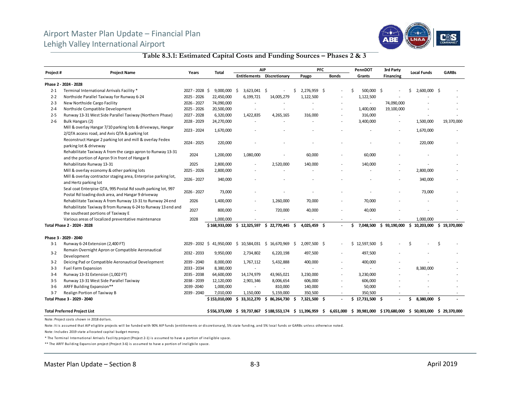#### Airport Master Plan Update – Financial Plan Lehigh Valley International Airport



#### **Table 8.3.1: Estimated Capital Costs and Funding Sources – Phases 2 & 3**

|          |                                                                                                                     |                | <b>Total</b>  |                          | <b>AIP</b>                                               |                    | <b>PFC</b>   | PennDOT                                                           | 3rd Party        | <b>Local Funds</b> | <b>GARBs</b> |
|----------|---------------------------------------------------------------------------------------------------------------------|----------------|---------------|--------------------------|----------------------------------------------------------|--------------------|--------------|-------------------------------------------------------------------|------------------|--------------------|--------------|
| Project# | <b>Project Name</b>                                                                                                 | Years          |               |                          | <b>Entitlements Discretionary</b>                        | Paygo              | <b>Bonds</b> | Grants                                                            | <b>Financing</b> |                    |              |
|          | Phase 2 - 2024 - 2028                                                                                               |                |               |                          |                                                          |                    |              |                                                                   |                  |                    |              |
| $2 - 1$  | Terminal International Arrivals Facility *                                                                          | 2027 - 2028 \$ | 9,000,000     | - \$<br>$3,623,041$ \$   |                                                          | 2,276,959 \$       |              | 500,000 \$<br>Ś                                                   |                  | 2,600,000 \$<br>Ś  |              |
| $2 - 2$  | Northside Parallel Taxiway for Runway 6-24                                                                          | 2025 - 2026    | 22,450,000    | 6,199,721                | 14,005,279                                               | 1,122,500          |              | 1,122,500                                                         |                  |                    |              |
| $2 - 3$  | New Northside Cargo Facility                                                                                        | 2026 - 2027    | 74,090,000    | $\overline{\phantom{a}}$ |                                                          |                    |              | $\overline{\phantom{a}}$                                          | 74,090,000       |                    |              |
| $2 - 4$  | Northside Compatible Development                                                                                    | 2025 - 2026    | 20,500,000    | $\overline{\phantom{a}}$ |                                                          |                    |              | 1,400,000                                                         | 19,100,000       |                    |              |
| $2 - 5$  | Runway 13-31 West Side Parallel Taxiway (Northern Phase)                                                            | 2027 - 2028    | 6,320,000     | 1,422,835                | 4,265,165                                                | 316,000            |              | 316,000                                                           |                  |                    |              |
| $2 - 6$  | Bulk Hangars (2)                                                                                                    | 2028 - 2029    | 24,270,000    |                          |                                                          |                    |              | 3,400,000                                                         |                  | 1,500,000          | 19,370,000   |
|          | Mill & overlay Hangar 7/10 parking lots & driveways, Hangar<br>2/QTA access road, and Avis QTA & parking lot        | 2023 - 2024    | 1,670,000     |                          |                                                          |                    |              |                                                                   |                  | 1,670,000          |              |
|          | Reconstruct Hangar 2 parking lot and mill & overlay Fedex<br>parking lot & driveway                                 | 2024 - 2025    | 220,000       |                          |                                                          |                    |              |                                                                   |                  | 220,000            |              |
|          | Rehabilitate Taxiway A from the cargo apron to Runway 13-31<br>and the portion of Apron 9 in front of Hangar 8      | 2024           | 1,200,000     | 1,080,000                |                                                          | 60,000             |              | 60,000                                                            |                  |                    |              |
|          | Rehabilitate Runway 13-31                                                                                           | 2025           | 2,800,000     |                          | 2,520,000                                                | 140,000            |              | 140,000                                                           |                  |                    |              |
|          | Mill & overlay economy & other parking lots                                                                         | 2025 - 2026    | 2,800,000     |                          |                                                          |                    |              |                                                                   |                  | 2,800,000          |              |
|          | Mill & overlay contractor staging area, Enterprise parking lot,<br>and Hertz parking lot                            | 2026 - 2027    | 340,000       |                          |                                                          |                    |              |                                                                   |                  | 340,000            |              |
|          | Seal coat Enterpise QTA, 995 Postal Rd south parking lot, 997<br>Postal Rd loading dock area, and Hangar 9 driveway | 2026 - 2027    | 73,000        |                          |                                                          |                    |              |                                                                   |                  | 73,000             |              |
|          | Rehabilitate Taxiway A from Runway 13-31 to Runway 24 end                                                           | 2026           | 1,400,000     |                          | 1,260,000                                                | 70,000             |              | 70,000                                                            |                  |                    |              |
|          | Rehabilitate Taxiway B from Runway 6-24 to Runway 13 end and<br>the southeast portions of Taxiway E                 | 2027           | 800,000       |                          | 720,000                                                  | 40,000             |              | 40,000                                                            |                  |                    |              |
|          | Various areas of localized preventative maintenance                                                                 | 2028           | 1,000,000     |                          |                                                          |                    |              |                                                                   |                  | 1,000,000          |              |
|          | Total Phase 2 - 2024 - 2028                                                                                         |                | \$168,933,000 | 12,325,597<br>Ŝ.         | \$22,770,445                                             | 4,025,459 \$<br>Ŝ. |              | 7,048,500<br>Ś.                                                   | \$93,190,000     | Ŝ.<br>10,203,000   | \$19,370,000 |
|          | Phase 3 - 2029 - 2040                                                                                               |                |               |                          |                                                          |                    |              |                                                                   |                  |                    |              |
| $3-1$    | Runway 6-24 Extension (2,400 FT)                                                                                    |                |               |                          | 2029 - 2032 \$41,950,000 \$10,584,031 \$16,670,969 \$    | 2,097,500 \$       |              | $$12,597,500$ \$                                                  |                  | S,                 | Ś            |
| $3 - 2$  | Remain Overnight Apron or Compatible Aeronautical<br>Development                                                    | 2032 - 2033    | 9,950,000     | 2,734,802                | 6,220,198                                                | 497,500            |              | 497,500                                                           |                  |                    |              |
| $3-2$    | Deicing Pad or Compatible Aeronautical Development                                                                  | 2039 - 2040    | 8,000,000     | 1,767,112                | 5,432,888                                                | 400,000            |              | 400,000                                                           |                  |                    |              |
| $3 - 3$  | <b>Fuel Farm Expansion</b>                                                                                          | 2033 - 2034    | 8,380,000     | $\overline{\phantom{a}}$ |                                                          |                    |              |                                                                   |                  | 8,380,000          |              |
| $3 - 4$  | Runway 13-31 Extension (1,002 FT)                                                                                   | 2035 - 2038    | 64,600,000    | 14, 174, 979             | 43,965,021                                               | 3,230,000          |              | 3,230,000                                                         |                  |                    |              |
| $3 - 5$  | Runway 13-31 West Side Parallel Taxiway                                                                             | 2038 - 2039    | 12,120,000    | 2,901,346                | 8,006,654                                                | 606,000            |              | 606,000                                                           |                  |                    |              |
| $3 - 6$  | ARFF Building Expansion**                                                                                           | 2039 - 2040    | 1,000,000     | $\sim$                   | 810,000                                                  | 140,000            |              | 50,000                                                            |                  |                    |              |
| $3 - 7$  | Realign Portion of Taxiway B                                                                                        | 2039 - 2040    | 7,010,000     | 1,150,000                | 5,159,000                                                | 350,500            |              | 350,500                                                           |                  |                    |              |
|          | Total Phase 3 - 2029 - 2040                                                                                         |                | \$153,010,000 | 33,312,270<br>s          | 86,264,730<br>S.                                         | 7,321,500 \$<br>-S |              | $$17,731,500$ \$                                                  |                  | 8,380,000 \$<br>\$ |              |
|          | <b>Total Preferred Project List</b>                                                                                 |                |               |                          | \$556,373,000 \$59,737,867 \$188,553,174 \$11,396,959 \$ |                    |              | 6,651,000 \$ 39,981,000 \$170,680,000 \$ 50,003,000 \$ 29,370,000 |                  |                    |              |

Note: Project costs shown in 2018 dollars.

Note: It is assumed that AIP eligible projects will be funded with 90% AIP funds (entitlements or discretionary), 5% state funding, and 5% local funds or GARBs unless otherwise noted.

Note: Includes 2019 state allocated capital budget money.

\* The Terminal International Arrivals Facility project (Project 2-1) is assumed to have a portion of ineligible space.

\*\* The ARFF Building Expansion project (Project 3-6) is assumed to have a portion of ineligbile space.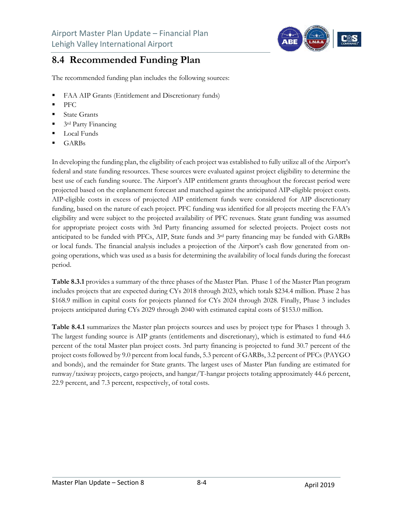

#### **8.4 Recommended Funding Plan**

The recommended funding plan includes the following sources:

- FAA AIP Grants (Entitlement and Discretionary funds)
- PFC
- State Grants
- 3rd Party Financing
- Local Funds
- GARBs

In developing the funding plan, the eligibility of each project was established to fully utilize all of the Airport's federal and state funding resources. These sources were evaluated against project eligibility to determine the best use of each funding source. The Airport's AIP entitlement grants throughout the forecast period were projected based on the enplanement forecast and matched against the anticipated AIP-eligible project costs. AIP-eligible costs in excess of projected AIP entitlement funds were considered for AIP discretionary funding, based on the nature of each project. PFC funding was identified for all projects meeting the FAA's eligibility and were subject to the projected availability of PFC revenues. State grant funding was assumed for appropriate project costs with 3rd Party financing assumed for selected projects. Project costs not anticipated to be funded with PFCs, AIP, State funds and  $3<sup>rd</sup>$  party financing may be funded with GARBs or local funds. The financial analysis includes a projection of the Airport's cash flow generated from ongoing operations, which was used as a basis for determining the availability of local funds during the forecast period.

**Table 8.3.1** provides a summary of the three phases of the Master Plan.Phase 1 of the Master Plan program includes projects that are expected during CYs 2018 through 2023, which totals \$234.4 million. Phase 2 has \$168.9 million in capital costs for projects planned for CYs 2024 through 2028. Finally, Phase 3 includes projects anticipated during CYs 2029 through 2040 with estimated capital costs of \$153.0 million.

**Table 8.4.1** summarizes the Master plan projects sources and uses by project type for Phases 1 through 3. The largest funding source is AIP grants (entitlements and discretionary), which is estimated to fund 44.6 percent of the total Master plan project costs. 3rd party financing is projected to fund 30.7 percent of the project costs followed by 9.0 percent from local funds, 5.3 percent of GARBs, 3.2 percent of PFCs (PAYGO and bonds), and the remainder for State grants. The largest uses of Master Plan funding are estimated for runway/taxiway projects, cargo projects, and hangar/T-hangar projects totaling approximately 44.6 percent, 22.9 percent, and 7.3 percent, respectively, of total costs.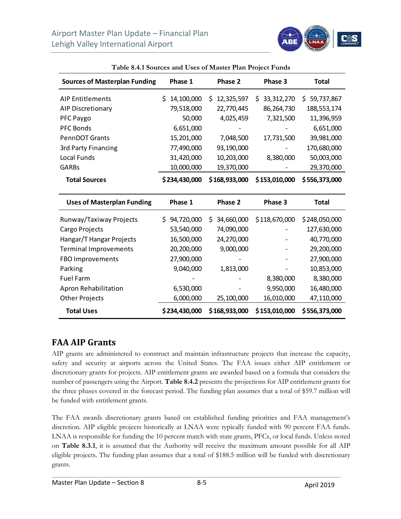

| <b>Sources of Masterplan Funding</b> | Phase 1          | Phase 2         | Phase 3           | <b>Total</b>    |
|--------------------------------------|------------------|-----------------|-------------------|-----------------|
| <b>AIP Entitlements</b>              | 14,100,000<br>\$ | 12,325,597<br>S | 33, 312, 270<br>S | 59,737,867<br>S |
| <b>AIP Discretionary</b>             | 79,518,000       | 22,770,445      | 86,264,730        | 188,553,174     |
| PFC Paygo                            | 50,000           | 4,025,459       | 7,321,500         | 11,396,959      |
| <b>PFC Bonds</b>                     | 6,651,000        | -               |                   | 6,651,000       |
| <b>PennDOT Grants</b>                | 15,201,000       | 7,048,500       | 17,731,500        | 39,981,000      |
| 3rd Party Financing                  | 77,490,000       | 93,190,000      |                   | 170,680,000     |
| Local Funds                          | 31,420,000       | 10,203,000      | 8,380,000         | 50,003,000      |
| <b>GARBs</b>                         | 10,000,000       | 19,370,000      |                   | 29,370,000      |
| <b>Total Sources</b>                 | \$234,430,000    | \$168,933,000   | \$153,010,000     | \$556,373,000   |
| Uses of Masterplan Funding           | <b>Phase 1</b>   | Phase 2         | Phase 3           | Total           |

| Table 8.4.1 Sources and Uses of Master Plan Project Funds |  |  |
|-----------------------------------------------------------|--|--|
|-----------------------------------------------------------|--|--|

| <b>Uses of Masterplan Funding</b> | Phase 1          | Phase 2         | Phase 3       | <b>Total</b>  |
|-----------------------------------|------------------|-----------------|---------------|---------------|
| Runway/Taxiway Projects           | 94,720,000<br>S. | 34,660,000<br>S | \$118,670,000 | \$248,050,000 |
| Cargo Projects                    | 53,540,000       | 74,090,000      |               | 127,630,000   |
| Hangar/T Hangar Projects          | 16,500,000       | 24,270,000      |               | 40,770,000    |
| <b>Terminal Improvements</b>      | 20,200,000       | 9,000,000       |               | 29,200,000    |
| FBO Improvements                  | 27,900,000       |                 |               | 27,900,000    |
| Parking                           | 9,040,000        | 1,813,000       |               | 10,853,000    |
| <b>Fuel Farm</b>                  |                  |                 | 8,380,000     | 8,380,000     |
| Apron Rehabilitation              | 6,530,000        |                 | 9,950,000     | 16,480,000    |
| <b>Other Projects</b>             | 6,000,000        | 25,100,000      | 16,010,000    | 47,110,000    |
| <b>Total Uses</b>                 | \$234,430,000    | \$168,933,000   | \$153,010,000 | \$556,373,000 |

#### **FAA AIP Grants**

AIP grants are administered to construct and maintain infrastructure projects that increase the capacity, safety and security at airports across the United States. The FAA issues either AIP entitlement or discretionary grants for projects. AIP entitlement grants are awarded based on a formula that considers the number of passengers using the Airport. **Table 8.4.2** presents the projections for AIP entitlement grants for the three phases covered in the forecast period. The funding plan assumes that a total of \$59.7 million will be funded with entitlement grants.

The FAA awards discretionary grants based on established funding priorities and FAA management's discretion. AIP eligible projects historically at LNAA were typically funded with 90 percent FAA funds. LNAA is responsible for funding the 10 percent match with state grants, PFCs, or local funds. Unless noted on **Table 8.3.1**, it is assumed that the Authority will receive the maximum amount possible for all AIP eligible projects. The funding plan assumes that a total of \$188.5 million will be funded with discretionary grants.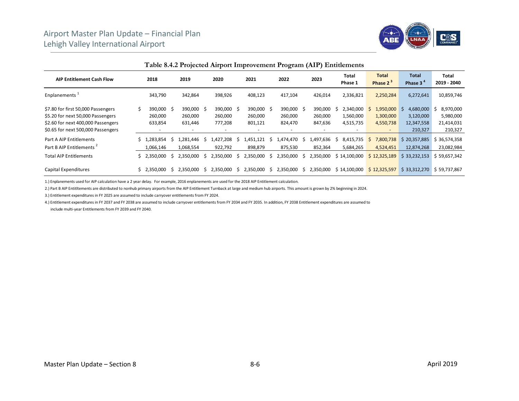

|                                                                                                                                                     |                                  |   |                                                              |    |                                                              |    |                                                           |    | $\tilde{}$                                                |    |                               |                                     |    |                                                                 |                                                 |                                                 |
|-----------------------------------------------------------------------------------------------------------------------------------------------------|----------------------------------|---|--------------------------------------------------------------|----|--------------------------------------------------------------|----|-----------------------------------------------------------|----|-----------------------------------------------------------|----|-------------------------------|-------------------------------------|----|-----------------------------------------------------------------|-------------------------------------------------|-------------------------------------------------|
| <b>AIP Entitlement Cash Flow</b>                                                                                                                    | 2018                             |   | 2019                                                         |    | 2020                                                         |    | 2021                                                      |    | 2022                                                      |    | 2023                          | Total<br>Phase 1                    |    | <b>Total</b><br>Phase 2 <sup>3</sup>                            | <b>Total</b><br>Phase 3 <sup>4</sup>            | Total<br>2019 - 2040                            |
| Enplanements <sup>1</sup>                                                                                                                           | 343,790                          |   | 342,864                                                      |    | 398,926                                                      |    | 408,123                                                   |    | 417,104                                                   |    | 426,014                       | 2,336,821                           |    | 2,250,284                                                       | 6,272,641                                       | 10,859,746                                      |
| \$7.80 for first 50,000 Passengers<br>\$5.20 for next 50,000 Passengers<br>\$2.60 for next 400,000 Passengers<br>\$0.65 for next 500,000 Passengers | 390,000 \$<br>260,000<br>633,854 |   | 390,000 \$<br>260,000<br>631,446<br>$\overline{\phantom{a}}$ |    | 390,000 \$<br>260,000<br>777,208<br>$\overline{\phantom{a}}$ |    | 390,000<br>260,000<br>801,121<br>$\overline{\phantom{a}}$ | Ŝ. | 390,000<br>260,000<br>824,470<br>$\overline{\phantom{a}}$ | -S | 390,000<br>260,000<br>847,636 | 2,340,000<br>1,560,000<br>4,515,735 | S  | 1,950,000<br>1,300,000<br>4,550,738<br>$\overline{\phantom{a}}$ | 4,680,000<br>3,120,000<br>12,347,558<br>210,327 | 8,970,000<br>5,980,000<br>21,414,031<br>210,327 |
| Part A AIP Entitlements<br>Part B AIP Entitlements <sup>2</sup>                                                                                     | .283.854<br>1.066.146            | 5 | .281,446<br>1,068,554                                        | S  | 1,427,208<br>922,792                                         | S  | 1,451,121<br>898,879                                      | s  | .474.470<br>875,530                                       | S  | 1,497,636<br>852,364          | 8,415,735<br>S<br>5,684,265         | S. | 7,800,738<br>4,524,451                                          | \$20,357,885<br>12,874,268                      | 36,574,358<br>23,082,984                        |
| <b>Total AIP Entitlements</b>                                                                                                                       | \$2,350,000                      | S | 2,350,000                                                    | S. | 2,350,000                                                    | -S | 2,350,000                                                 | S. | 2,350,000                                                 | S  | 2,350,000                     | \$14,100,000                        |    | \$12,325,189                                                    | \$33,232,153                                    | \$59,657,342                                    |
| Capital Expenditures                                                                                                                                | \$2.350.000                      | S | 2,350,000                                                    | S  | 2,350,000                                                    | S  | 2,350,000                                                 | S. | 2,350,000                                                 |    | 2,350,000                     | : 14,100,000<br>S                   |    | \$12,325,597                                                    | \$33,312,270                                    | \$59,737,867                                    |

**Table 8.4.2 Projected Airport Improvement Program (AIP) Entitlements**

1.) Enplanements used for AIP calculation have a 2 year delay. For example, 2016 enplanements are used for the 2018 AIP Entitlement calculation.

2.) Part B AIP Entitltements are distributed to nonhub primary airports from the AIP Entitlement Turnback at large and medium hub airports. This amount is grown by 2% beginning in 2024.

3.) Entitlement expenditures in FY 2025 are assumed to include carryover entitlements from FY 2024.

4.) Entitlement expenditures in FY 2037 and FY 2038 are assumed to include carryover entitlements from FY 2034 and FY 2035. In addition, FY 2038 Entitlement expenditures are assumed to include multi‐year Entitlements from FY 2039 and FY 2040.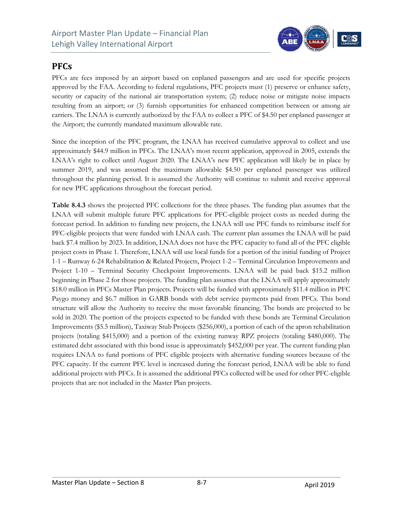

#### **PFCs**

PFCs are fees imposed by an airport based on enplaned passengers and are used for specific projects approved by the FAA. According to federal regulations, PFC projects must (1) preserve or enhance safety, security or capacity of the national air transportation system; (2) reduce noise or mitigate noise impacts resulting from an airport; or (3) furnish opportunities for enhanced competition between or among air carriers. The LNAA is currently authorized by the FAA to collect a PFC of \$4.50 per enplaned passenger at the Airport; the currently mandated maximum allowable rate.

Since the inception of the PFC program, the LNAA has received cumulative approval to collect and use approximately \$44.9 million in PFCs. The LNAA's most recent application, approved in 2005, extends the LNAA's right to collect until August 2020. The LNAA's new PFC application will likely be in place by summer 2019, and was assumed the maximum allowable \$4.50 per enplaned passenger was utilized throughout the planning period. It is assumed the Authority will continue to submit and receive approval for new PFC applications throughout the forecast period.

**Table 8.4.3** shows the projected PFC collections for the three phases. The funding plan assumes that the LNAA will submit multiple future PFC applications for PFC-eligible project costs as needed during the forecast period. In addition to funding new projects, the LNAA will use PFC funds to reimburse itself for PFC-eligible projects that were funded with LNAA cash. The current plan assumes the LNAA will be paid back \$7.4 million by 2023. In addition, LNAA does not have the PFC capacity to fund all of the PFC eligible project costs in Phase 1. Therefore, LNAA will use local funds for a portion of the initial funding of Project 1-1 – Runway 6-24 Rehabilitation & Related Projects, Project 1-2 – Terminal Circulation Improvements and Project 1-10 – Terminal Security Checkpoint Improvements. LNAA will be paid back \$15.2 million beginning in Phase 2 for those projects. The funding plan assumes that the LNAA will apply approximately \$18.0 million in PFCs Master Plan projects. Projects will be funded with approximately \$11.4 million in PFC Paygo money and \$6.7 million in GARB bonds with debt service payments paid from PFCs. This bond structure will allow the Authority to receive the most favorable financing. The bonds are projected to be sold in 2020. The portion of the projects expected to be funded with these bonds are Terminal Circulation Improvements (\$5.5 million), Taxiway Stub Projects (\$256,000), a portion of each of the apron rehabilitation projects (totaling \$415,000) and a portion of the existing runway RPZ projects (totaling \$480,000). The estimated debt associated with this bond issue is approximately \$452,000 per year. The current funding plan requires LNAA to fund portions of PFC eligible projects with alternative funding sources because of the PFC capacity. If the current PFC level is increased during the forecast period, LNAA will be able to fund additional projects with PFCs. It is assumed the additional PFCs collected will be used for other PFC-eligible projects that are not included in the Master Plan projects.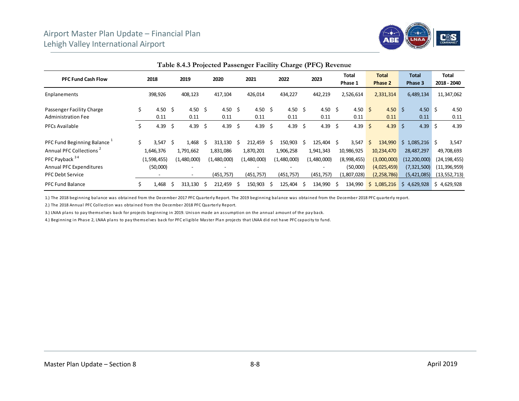

|                                     |    |                          |     | Table 0.1.5 Trojected I assemger I achity Onlinge (110) Revenue |    |             |    |             |    |             |    |             |      |                  |    |                         |                         |     |                      |
|-------------------------------------|----|--------------------------|-----|-----------------------------------------------------------------|----|-------------|----|-------------|----|-------------|----|-------------|------|------------------|----|-------------------------|-------------------------|-----|----------------------|
| <b>PFC Fund Cash Flow</b>           |    | 2018                     |     | 2019                                                            |    | 2020        |    | 2021        |    | 2022        |    | 2023        |      | Total<br>Phase 1 |    | <b>Total</b><br>Phase 2 | <b>Total</b><br>Phase 3 |     | Total<br>2018 - 2040 |
| Enplanements                        |    | 398,926                  |     | 408,123                                                         |    | 417,104     |    | 426,014     |    | 434,227     |    | 442,219     |      | 2,526,614        |    | 2,331,314               | 6,489,134               |     | 11,347,062           |
| Passenger Facility Charge           | Ś  | 4.50 \$                  |     | 4.50 \$                                                         |    | 4.50 \$     |    | 4.50 \$     |    | 4.50        | S. | 4.50 \$     |      | 4.50 \$          |    | 4.50 \$                 | 4.50 \$                 |     | 4.50                 |
| <b>Administration Fee</b>           |    | 0.11                     |     | 0.11                                                            |    | 0.11        |    | 0.11        |    | 0.11        |    | 0.11        |      | 0.11             |    | 0.11                    | 0.11                    |     | 0.11                 |
| <b>PFCs Available</b>               | \$ | 4.39                     | -\$ | 4.39                                                            | \$ | 4.39        | \$ | 4.39        | \$ | 4.39        | \$ | 4.39        | - \$ | 4.39 \$          |    | $4.39 \quad $5$         | 4.39                    | l S | 4.39                 |
| PFC Fund Beginning Balance          | Ś. | $3,547$ \$               |     | 1,468                                                           | -S | 313,130     | S  | 212,459     | Ŝ. | 150,903     | Ŝ  | 125,404 \$  |      | 3,547            | S. | 134,990                 | $$1,085,216$ \$         |     | 3,547                |
| Annual PFC Collections <sup>2</sup> |    | 1,646,376                |     | 1,791,662                                                       |    | 1,831,086   |    | 1,870,201   |    | 1,906,258   |    | 1,941,343   |      | 10,986,925       |    | 10,234,470              | 28,487,297              |     | 49,708,693           |
| PFC Payback 34                      |    | (1,598,455)              |     | (1,480,000)                                                     |    | (1,480,000) |    | (1,480,000) |    | (1,480,000) |    | (1,480,000) |      | (8,998,455)      |    | (3,000,000)             | (12, 200, 000)          |     | (24, 198, 455)       |
| Annual PFC Expenditures             |    | (50,000)                 |     | $\overline{\phantom{a}}$                                        |    |             |    |             |    |             |    |             |      | (50,000)         |    | (4,025,459)             | (7,321,500)             |     | (11, 396, 959)       |
| <b>PFC Debt Service</b>             |    | $\overline{\phantom{0}}$ |     | $\sim$                                                          |    | (451, 757)  |    | (451, 757)  |    | (451, 757)  |    | (451, 757)  |      | (1,807,028)      |    | (2, 258, 786)           | (5,421,085)             |     | (13, 552, 713)       |
| <b>PFC Fund Balance</b>             |    | 1,468                    | S   | 313,130                                                         | -S | 212,459     | -S | 150,903     | Ŝ  | 125,404     | Ŝ. | 134,990     | - \$ | 134,990          |    | \$1,085,216             | \$4,629,928             |     | \$4,629,928          |

**Table 8.4.3 Projected Passenger Facility Charge (PFC) Revenue**

1.) The 2018 beginning balance was obtained from the December 2017 PFC Quarterly Report. The 2019 beginning balance was obtained from the December 2018 PFC quarterly report.

2.) The 2018 Annual PFC Collection was obtained from the December 2018 PFC Quarterly Report.

3.) LNAA plans to pay themselves back for projects beginning in 2019. Unison made an assumption on the annual amount of the pay back.

4.) Beginning in Phase 2, LNAA plans to pay themselves back for PFC eligible Master Plan projects that LNAA did not have PFC capacity to fund.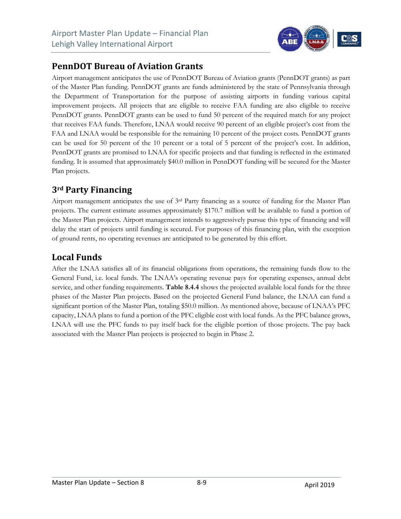

#### **PennDOT Bureau of Aviation Grants**

Airport management anticipates the use of PennDOT Bureau of Aviation grants (PennDOT grants) as part of the Master Plan funding. PennDOT grants are funds administered by the state of Pennsylvania through the Department of Transportation for the purpose of assisting airports in funding various capital improvement projects. All projects that are eligible to receive FAA funding are also eligible to receive PennDOT grants. PennDOT grants can be used to fund 50 percent of the required match for any project that receives FAA funds. Therefore, LNAA would receive 90 percent of an eligible project's cost from the FAA and LNAA would be responsible for the remaining 10 percent of the project costs. PennDOT grants can be used for 50 percent of the 10 percent or a total of 5 percent of the project's cost. In addition, PennDOT grants are promised to LNAA for specific projects and that funding is reflected in the estimated funding. It is assumed that approximately \$40.0 million in PennDOT funding will be secured for the Master Plan projects.

#### **3rd Party Financing**

Airport management anticipates the use of 3rd Party financing as a source of funding for the Master Plan projects. The current estimate assumes approximately \$170.7 million will be available to fund a portion of the Master Plan projects. Airport management intends to aggressively pursue this type of financing and will delay the start of projects until funding is secured. For purposes of this financing plan, with the exception of ground rents, no operating revenues are anticipated to be generated by this effort.

#### **Local Funds**

After the LNAA satisfies all of its financial obligations from operations, the remaining funds flow to the General Fund, i.e. local funds. The LNAA's operating revenue pays for operating expenses, annual debt service, and other funding requirements. **Table 8.4.4** shows the projected available local funds for the three phases of the Master Plan projects. Based on the projected General Fund balance, the LNAA can fund a significant portion of the Master Plan, totaling \$50.0 million. As mentioned above, because of LNAA's PFC capacity, LNAA plans to fund a portion of the PFC eligible cost with local funds. As the PFC balance grows, LNAA will use the PFC funds to pay itself back for the eligible portion of those projects. The pay back associated with the Master Plan projects is projected to begin in Phase 2.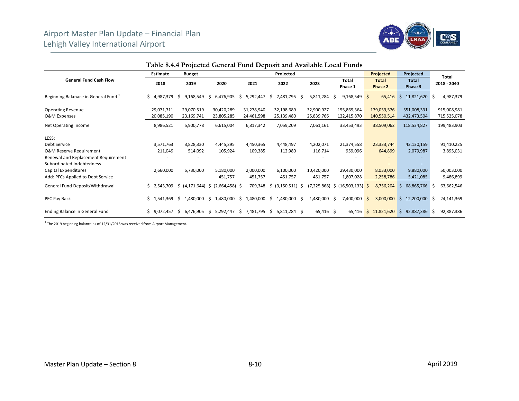

|                                      | <b>Estimate</b> | <b>Budget</b>       |                        |                 | Projected               |             |                                    | Projected        | Projected           | Total            |
|--------------------------------------|-----------------|---------------------|------------------------|-----------------|-------------------------|-------------|------------------------------------|------------------|---------------------|------------------|
| <b>General Fund Cash Flow</b>        |                 |                     |                        |                 |                         |             | Total                              | <b>Total</b>     | <b>Total</b>        | 2018 - 2040      |
|                                      | 2018            | 2019                | 2020                   | 2021            | 2022                    | 2023        | Phase 1                            | Phase 2          | Phase 3             |                  |
| Beginning Balanace in General Fund 1 | Ś.<br>4,987,379 | 9,168,549<br>S      | 6,476,905<br>Ŝ         | 5,292,447<br>S  | 7,481,795 \$<br>S       | 5,811,284   | 9,168,549<br><sub>S</sub>          | 65,416<br>-\$    | 11,821,620 \$<br>-S | 4,987,379        |
| <b>Operating Revenue</b>             | 29,071,711      | 29,070,519          | 30,420,289             | 31,278,940      | 32,198,689              | 32,900,927  | 155,869,364                        | 179,059,576      | 551,008,331         | 915,008,981      |
| O&M Expenses                         | 20,085,190      | 23,169,741          | 23,805,285             | 24,461,598      | 25,139,480              | 25,839,766  | 122,415,870                        | 140,550,514      | 432,473,504         | 715,525,078      |
| Net Operating Income                 | 8,986,521       | 5,900,778           | 6,615,004              | 6,817,342       | 7,059,209               | 7,061,161   | 33,453,493                         | 38,509,062       | 118,534,827         | 199,483,903      |
| LESS:                                |                 |                     |                        |                 |                         |             |                                    |                  |                     |                  |
| Debt Service                         | 3,571,763       | 3,828,330           | 4,445,295              | 4,450,365       | 4,448,497               | 4,202,071   | 21,374,558                         | 23,333,744       | 43,130,159          | 91,410,225       |
| <b>O&amp;M Reserve Requirement</b>   | 211,049         | 514,092             | 105,924                | 109,385         | 112,980                 | 116,714     | 959,096                            | 644,899          | 2,079,987           | 3,895,031        |
| Renewal and Replacement Requirement  |                 |                     |                        |                 |                         |             |                                    |                  |                     |                  |
| Subordinated Indebtedness            |                 |                     |                        |                 |                         |             |                                    |                  |                     |                  |
| Capital Expenditures                 | 2,660,000       | 5,730,000           | 5,180,000              | 2,000,000       | 6,100,000               | 10,420,000  | 29,430,000                         | 8,033,000        | 9,880,000           | 50,003,000       |
| Add: PFCs Applied to Debt Service    |                 |                     | 451,757                | 451,757         | 451,757                 | 451,757     | 1,807,028                          | 2,258,786        | 5,421,085           | 9,486,899        |
| General Fund Deposit/Withdrawal      | Ś.<br>2,543,709 | (4, 171, 644)<br>\$ | S.<br>$(2,664,458)$ \$ | 709,348         | $(3, 150, 511)$ \$<br>Ŝ |             | $(7,225,868)$ \$ $(16,503,133)$ \$ | 8,756,204        | 68,865,766<br>Ŝ     | 63,662,546<br>S  |
| PFC Pay Back                         | 1,541,369<br>Ś. | 1,480,000<br>S.     | 1,480,000<br>S.        | 1,480,000<br>S. | 1,480,000 \$<br>\$.     | 1,480,000   | 7,400,000<br>-Ŝ                    | 3,000,000<br>\$. | 12,200,000<br>S.    | 24,141,369<br>S. |
| Ending Balance in General Fund       | 9,072,457<br>Ś  | 6,476,905<br>-S     | 5,292,447<br>Ŝ.        | 7,481,795<br>S. | 5,811,284 \$<br>Ŝ.      | $65,416$ \$ | 65,416                             | 11,821,620<br>Ŝ. | 92,887,386<br>Ŝ.    | 92,887,386<br>Ŝ. |

**Table 8.4.4 Projected General Fund Deposit and Available Local Funds** 

 $1$  The 2019 beginning balance as of 12/31/2018 was received from Airport Management.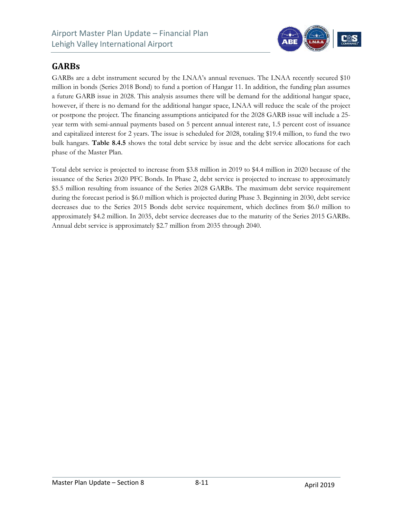

#### **GARBs**

GARBs are a debt instrument secured by the LNAA's annual revenues. The LNAA recently secured \$10 million in bonds (Series 2018 Bond) to fund a portion of Hangar 11. In addition, the funding plan assumes a future GARB issue in 2028. This analysis assumes there will be demand for the additional hangar space, however, if there is no demand for the additional hangar space, LNAA will reduce the scale of the project or postpone the project. The financing assumptions anticipated for the 2028 GARB issue will include a 25 year term with semi-annual payments based on 5 percent annual interest rate, 1.5 percent cost of issuance and capitalized interest for 2 years. The issue is scheduled for 2028, totaling \$19.4 million, to fund the two bulk hangars. **Table 8.4.5** shows the total debt service by issue and the debt service allocations for each phase of the Master Plan.

Total debt service is projected to increase from \$3.8 million in 2019 to \$4.4 million in 2020 because of the issuance of the Series 2020 PFC Bonds. In Phase 2, debt service is projected to increase to approximately \$5.5 million resulting from issuance of the Series 2028 GARBs. The maximum debt service requirement during the forecast period is \$6.0 million which is projected during Phase 3. Beginning in 2030, debt service decreases due to the Series 2015 Bonds debt service requirement, which declines from \$6.0 million to approximately \$4.2 million. In 2035, debt service decreases due to the maturity of the Series 2015 GARBs. Annual debt service is approximately \$2.7 million from 2035 through 2040.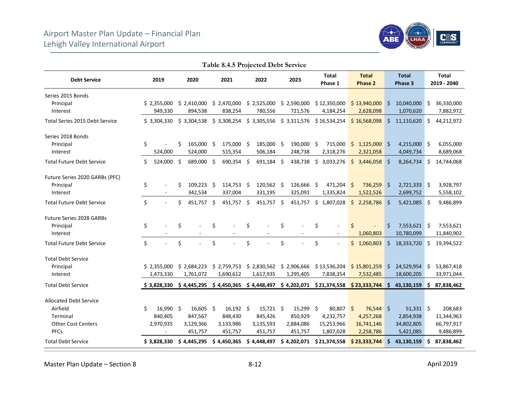

|                                  |    |             |    |             |      |                  | I able 8.4.5 Projected Debt Service |             |                                                      |    |                                |    |                         |     |                             |
|----------------------------------|----|-------------|----|-------------|------|------------------|-------------------------------------|-------------|------------------------------------------------------|----|--------------------------------|----|-------------------------|-----|-----------------------------|
| <b>Debt Service</b>              |    | 2019        |    | 2020        |      | 2021             | 2022                                | 2023        | <b>Total</b><br>Phase 1                              |    | <b>Total</b><br><b>Phase 2</b> |    | <b>Total</b><br>Phase 3 |     | <b>Total</b><br>2019 - 2040 |
| Series 2015 Bonds                |    |             |    |             |      |                  |                                     |             |                                                      |    |                                |    |                         |     |                             |
| Principal                        |    | \$2,355,000 |    | \$2,410,000 |      | \$2,470,000      | $$2,525,000$ $$2,590,000$           |             | \$12,350,000                                         |    | \$13,940,000                   | Ŝ. | 10,040,000              | -Ś  | 36,330,000                  |
| Interest                         |    | 949,330     |    | 894,538     |      | 838,254          | 780,556                             | 721,576     | 4,184,254                                            |    | 2,628,098                      |    | 1,070,620               |     | 7,882,972                   |
| Total Series 2015 Debt Service   |    | \$3,304,330 |    | \$3,304,538 |      |                  |                                     |             | $$3,308,254$ $$3,305,556$ $$3,311,576$ $$16,534,254$ |    | \$16,568,098                   | Ŝ. | 11,110,620              | Ŝ.  | 44,212,972                  |
| Series 2018 Bonds                |    |             |    |             |      |                  |                                     |             |                                                      |    |                                |    |                         |     |                             |
| Principal                        | \$ |             | Ś  | 165,000     | - \$ | 175,000 \$       | 185,000 \$                          | 190,000 \$  | 715,000                                              |    | $$1,125,000$ \$                |    | 4,215,000 \$            |     | 6,055,000                   |
| Interest                         |    | 524,000     |    | 524,000     |      | 515,354          | 506,184                             | 248,738     | 2,318,276                                            |    | 2,321,058                      |    | 4,049,734               |     | 8,689,068                   |
| <b>Total Future Debt Service</b> | \$ | 524,000     | \$ | 689,000     | S.   | 690,354 \$       | 691,184 \$                          | 438,738     | \$<br>3,033,276                                      | \$ | 3,446,058                      | \$ | 8,264,734               | \$  | 14,744,068                  |
| Future Series 2020 GARBs (PFC)   |    |             |    |             |      |                  |                                     |             |                                                      |    |                                |    |                         |     |                             |
| Principal                        | \$ |             | \$ | 109,223     | - Ś  | 114,753 \$       | 120,562 \$                          | 126,666 \$  | $471,204$ \$                                         |    | 736,259                        | Ŝ. | $2,721,333$ \$          |     | 3,928,797                   |
| Interest                         |    |             |    | 342,534     |      | 337,004          | 331,195                             | 325,091     | 1,335,824                                            |    | 1,522,526                      |    | 2,699,752               |     | 5,558,102                   |
| <b>Total Future Debt Service</b> | \$ |             | Ś  | 451,757 \$  |      | 451,757 \$       | 451,757 \$                          | 451,757     | \$1,807,028                                          | Ś. | 2,258,786                      | Ŝ. | $5,421,085$ \$          |     | 9,486,899                   |
| <b>Future Series 2028 GARBs</b>  |    |             |    |             |      |                  |                                     |             |                                                      |    |                                |    |                         |     |                             |
| Principal                        | \$ |             | \$ |             | \$   |                  | \$                                  | \$          | \$                                                   | Ś  |                                | \$ | $7,553,621$ \$          |     | 7,553,621                   |
| Interest                         |    |             |    |             |      |                  |                                     |             |                                                      |    | 1,060,803                      |    | 10,780,099              |     | 11,840,902                  |
| <b>Total Future Debt Service</b> | \$ |             | \$ |             | \$   |                  | \$                                  | \$          | \$<br>÷,                                             |    | \$1,060,803                    | Ś. | 18,333,720              | - S | 19,394,522                  |
| <b>Total Debt Service</b>        |    |             |    |             |      |                  |                                     |             |                                                      |    |                                |    |                         |     |                             |
| Principal                        |    | \$2,355,000 |    | \$2,684,223 |      | \$2,759,753      | \$2,830,562                         | \$2,906,666 | \$13,536,204                                         |    | \$15,801,259                   | \$ | 24,529,954 \$           |     | 53,867,418                  |
| Interest                         |    | 1,473,330   |    | 1,761,072   |      | 1,690,612        | 1,617,935                           | 1,295,405   | 7,838,354                                            |    | 7,532,485                      |    | 18,600,205              |     | 33,971,044                  |
| <b>Total Debt Service</b>        |    | \$3,828,330 |    | \$4,445,295 |      | \$4,450,365      | \$4,448,497                         |             | $$4,202,071$ $$21,374,558$                           |    | \$23,333,744                   | \$ | 43,130,159              | \$. | 87,838,462                  |
| <b>Allocated Debt Service</b>    |    |             |    |             |      |                  |                                     |             |                                                      |    |                                |    |                         |     |                             |
| Airfield                         | Ś. | 16,990 \$   |    | $16,605$ \$ |      | $16,192 \quad $$ | $15,721$ \$                         | $15,299$ \$ | 80,807 \$                                            |    | 76,544 \$                      |    | $51,331$ \$             |     | 208,683                     |
| Terminal                         |    | 840,405     |    | 847,567     |      | 848,430          | 845,426                             | 850,929     | 4,232,757                                            |    | 4,257,268                      |    | 2,854,938               |     | 11,344,963                  |
| <b>Other Cost Centers</b>        |    | 2,970,935   |    | 3,129,366   |      | 3,133,986        | 3,135,593                           | 2,884,086   | 15,253,966                                           |    | 16,741,146                     |    | 34,802,805              |     | 66,797,917                  |
| <b>PFCs</b>                      |    |             |    | 451,757     |      | 451,757          | 451,757                             | 451,757     | 1,807,028                                            |    | 2,258,786                      |    | 5,421,085               |     | 9,486,899                   |
| <b>Total Debt Service</b>        |    | \$3,828,330 |    | \$4,445,295 |      | \$4,450,365      | \$4,448,497                         | \$4,202,071 | \$21,374,558                                         |    | \$23,333,744                   | Ś. | 43,130,159              | Ś   | 87,838,462                  |

**Table 8.4.5 Projected Debt Service** 

Master Plan Update – Section 8 8‐12 April 2019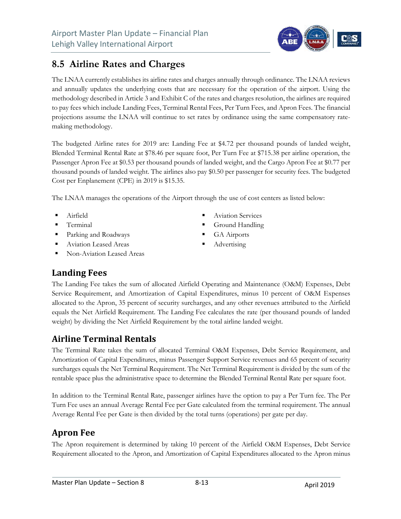### **8.5 Airline Rates and Charges**

The LNAA currently establishes its airline rates and charges annually through ordinance. The LNAA reviews and annually updates the underlying costs that are necessary for the operation of the airport. Using the methodology described in Article 3 and Exhibit C of the rates and charges resolution, the airlines are required to pay fees which include Landing Fees, Terminal Rental Fees, Per Turn Fees, and Apron Fees. The financial projections assume the LNAA will continue to set rates by ordinance using the same compensatory ratemaking methodology.

The budgeted Airline rates for 2019 are: Landing Fee at \$4.72 per thousand pounds of landed weight, Blended Terminal Rental Rate at \$78.46 per square foot, Per Turn Fee at \$715.38 per airline operation, the Passenger Apron Fee at \$0.53 per thousand pounds of landed weight, and the Cargo Apron Fee at \$0.77 per thousand pounds of landed weight. The airlines also pay \$0.50 per passenger for security fees. The budgeted Cost per Enplanement (CPE) in 2019 is \$15.35.

The LNAA manages the operations of the Airport through the use of cost centers as listed below:

- **Airfield**
- **Terminal**
- Parking and Roadways
- Aviation Leased Areas
- Non-Aviation Leased Areas
- Aviation Services
- Ground Handling
- GA Airports
- Advertising

#### **Landing Fees**

The Landing Fee takes the sum of allocated Airfield Operating and Maintenance (O&M) Expenses, Debt Service Requirement, and Amortization of Capital Expenditures, minus 10 percent of O&M Expenses allocated to the Apron, 35 percent of security surcharges, and any other revenues attributed to the Airfield equals the Net Airfield Requirement. The Landing Fee calculates the rate (per thousand pounds of landed weight) by dividing the Net Airfield Requirement by the total airline landed weight.

#### **Airline Terminal Rentals**

The Terminal Rate takes the sum of allocated Terminal O&M Expenses, Debt Service Requirement, and Amortization of Capital Expenditures, minus Passenger Support Service revenues and 65 percent of security surcharges equals the Net Terminal Requirement. The Net Terminal Requirement is divided by the sum of the rentable space plus the administrative space to determine the Blended Terminal Rental Rate per square foot.

In addition to the Terminal Rental Rate, passenger airlines have the option to pay a Per Turn fee. The Per Turn Fee uses an annual Average Rental Fee per Gate calculated from the terminal requirement. The annual Average Rental Fee per Gate is then divided by the total turns (operations) per gate per day.

#### **Apron Fee**

The Apron requirement is determined by taking 10 percent of the Airfield O&M Expenses, Debt Service Requirement allocated to the Apron, and Amortization of Capital Expenditures allocated to the Apron minus

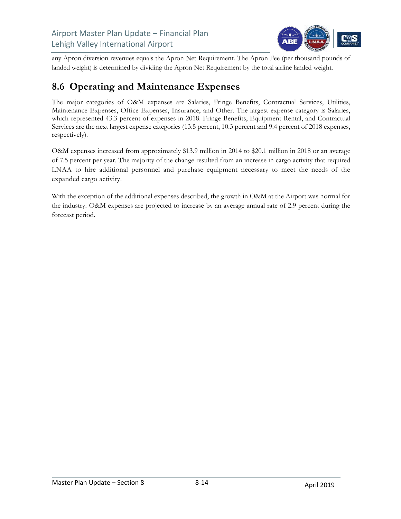

any Apron diversion revenues equals the Apron Net Requirement. The Apron Fee (per thousand pounds of landed weight) is determined by dividing the Apron Net Requirement by the total airline landed weight.

#### **8.6 Operating and Maintenance Expenses**

The major categories of O&M expenses are Salaries, Fringe Benefits, Contractual Services, Utilities, Maintenance Expenses, Office Expenses, Insurance, and Other. The largest expense category is Salaries, which represented 43.3 percent of expenses in 2018. Fringe Benefits, Equipment Rental, and Contractual Services are the next largest expense categories (13.5 percent, 10.3 percent and 9.4 percent of 2018 expenses, respectively).

O&M expenses increased from approximately \$13.9 million in 2014 to \$20.1 million in 2018 or an average of 7.5 percent per year. The majority of the change resulted from an increase in cargo activity that required LNAA to hire additional personnel and purchase equipment necessary to meet the needs of the expanded cargo activity.

With the exception of the additional expenses described, the growth in O&M at the Airport was normal for the industry. O&M expenses are projected to increase by an average annual rate of 2.9 percent during the forecast period.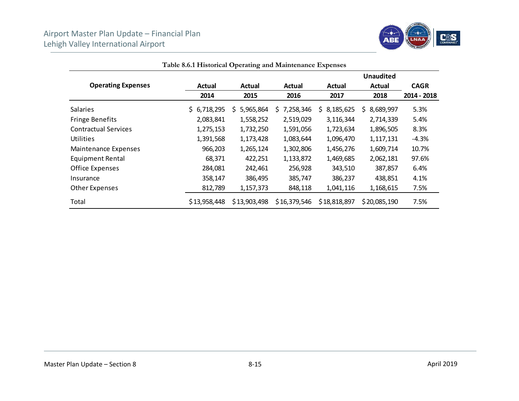

|                             |              |                 |                 |                 | <b>Unaudited</b> |             |
|-----------------------------|--------------|-----------------|-----------------|-----------------|------------------|-------------|
| <b>Operating Expenses</b>   | Actual       | Actual          | Actual          | Actual          | Actual           | <b>CAGR</b> |
|                             | 2014         | 2015            | 2016            | 2017            | 2018             | 2014 - 2018 |
| <b>Salaries</b>             | \$6,718,295  | S.<br>5,965,864 | 7,258,346<br>S. | 8,185,625<br>S. | Ś<br>8,689,997   | 5.3%        |
| <b>Fringe Benefits</b>      | 2,083,841    | 1,558,252       | 2,519,029       | 3,116,344       | 2,714,339        | 5.4%        |
| <b>Contractual Services</b> | 1,275,153    | 1,732,250       | 1,591,056       | 1,723,634       | 1,896,505        | 8.3%        |
| Utilities                   | 1,391,568    | 1,173,428       | 1,083,644       | 1,096,470       | 1,117,131        | $-4.3%$     |
| <b>Maintenance Expenses</b> | 966,203      | 1,265,124       | 1,302,806       | 1,456,276       | 1,609,714        | 10.7%       |
| Equipment Rental            | 68,371       | 422,251         | 1,133,872       | 1,469,685       | 2,062,181        | 97.6%       |
| Office Expenses             | 284,081      | 242,461         | 256,928         | 343,510         | 387,857          | 6.4%        |
| Insurance                   | 358,147      | 386,495         | 385,747         | 386,237         | 438,851          | 4.1%        |
| Other Expenses              | 812,789      | 1,157,373       | 848,118         | 1,041,116       | 1,168,615        | 7.5%        |
| Total                       | \$13,958,448 | \$13,903,498    | \$16,379,546    | \$18,818,897    | \$20,085,190     | 7.5%        |

**Table 8.6.1 Historical Operating and Maintenance Expenses**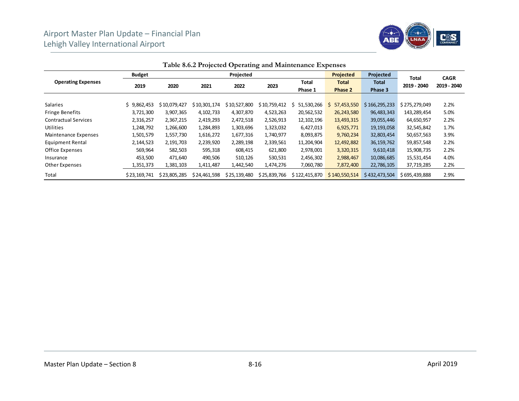

|                             | <b>Budget</b> |              |              | Projected    |              |                  | <b>Projected</b>        | Projected               |                      | <b>CAGR</b> |
|-----------------------------|---------------|--------------|--------------|--------------|--------------|------------------|-------------------------|-------------------------|----------------------|-------------|
| <b>Operating Expenses</b>   | 2019          | 2020         | 2021         | 2022         |              | Total<br>Phase 1 | <b>Total</b><br>Phase 2 | <b>Total</b><br>Phase 3 | Total<br>2019 - 2040 | 2019 - 2040 |
|                             |               |              |              |              |              |                  |                         |                         |                      |             |
| <b>Salaries</b>             | \$9,862,453   | \$10,079,427 | \$10,301,174 | \$10,527,800 | \$10,759,412 | 51,530,266       | 57,453,550<br>S.        | \$166, 295, 233         | \$275,279,049        | 2.2%        |
| <b>Fringe Benefits</b>      | 3,721,300     | 3,907,365    | 4,102,733    | 4,307,870    | 4,523,263    | 20,562,532       | 26,243,580              | 96,483,343              | 143,289,454          | 5.0%        |
| <b>Contractual Services</b> | 2,316,257     | 2,367,215    | 2,419,293    | 2,472,518    | 2,526,913    | 12, 102, 196     | 13,493,315              | 39,055,446              | 64,650,957           | 2.2%        |
| Utilities                   | 1,248,792     | 1,266,600    | 1,284,893    | 1,303,696    | 1,323,032    | 6,427,013        | 6,925,771               | 19,193,058              | 32,545,842           | 1.7%        |
| Maintenance Expenses        | 1,501,579     | 1,557,730    | 1,616,272    | 1,677,316    | 1,740,977    | 8,093,875        | 9,760,234               | 32,803,454              | 50,657,563           | 3.9%        |
| <b>Equipment Rental</b>     | 2,144,523     | 2,191,703    | 2,239,920    | 2,289,198    | 2,339,561    | 11,204,904       | 12,492,882              | 36, 159, 762            | 59,857,548           | 2.2%        |
| Office Expenses             | 569,964       | 582,503      | 595,318      | 608,415      | 621,800      | 2,978,001        | 3,320,315               | 9,610,418               | 15,908,735           | 2.2%        |
| Insurance                   | 453,500       | 471,640      | 490,506      | 510,126      | 530,531      | 2,456,302        | 2,988,467               | 10,086,685              | 15,531,454           | 4.0%        |
| Other Expenses              | 1,351,373     | 1,381,103    | 1,411,487    | 1,442,540    | 1,474,276    | 7,060,780        | 7,872,400               | 22,786,105              | 37,719,285           | 2.2%        |
| Total                       | \$23,169,741  | \$23,805,285 | \$24,461,598 | \$25,139,480 | \$25,839,766 | \$122,415,870    | \$140,550,514           | \$432,473,504           | \$695,439,888        | 2.9%        |

**Table 8.6.2 Projected Operating and Maintenance Expenses**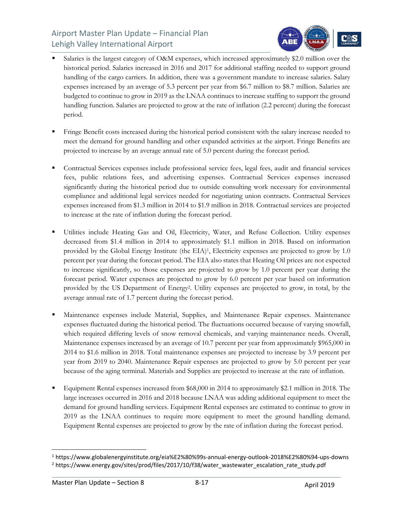

- Salaries is the largest category of O&M expenses, which increased approximately \$2.0 million over the historical period. Salaries increased in 2016 and 2017 for additional staffing needed to support ground handling of the cargo carriers. In addition, there was a government mandate to increase salaries. Salary expenses increased by an average of 5.3 percent per year from \$6.7 million to \$8.7 million. Salaries are budgeted to continue to grow in 2019 as the LNAA continues to increase staffing to support the ground handling function. Salaries are projected to grow at the rate of inflation (2.2 percent) during the forecast period.
- Fringe Benefit costs increased during the historical period consistent with the salary increase needed to meet the demand for ground handling and other expanded activities at the airport. Fringe Benefits are projected to increase by an average annual rate of 5.0 percent during the forecast period.
- Contractual Services expenses include professional service fees, legal fees, audit and financial services fees, public relations fees, and advertising expenses. Contractual Services expenses increased significantly during the historical period due to outside consulting work necessary for environmental compliance and additional legal services needed for negotiating union contracts. Contractual Services expenses increased from \$1.3 million in 2014 to \$1.9 million in 2018. Contractual services are projected to increase at the rate of inflation during the forecast period.
- Utilities include Heating Gas and Oil, Electricity, Water, and Refuse Collection. Utility expenses decreased from \$1.4 million in 2014 to approximately \$1.1 million in 2018. Based on information provided by the Global Energy Institute (the EIA)1, Electricity expenses are projected to grow by 1.0 percent per year during the forecast period. The EIA also states that Heating Oil prices are not expected to increase significantly, so those expenses are projected to grow by 1.0 percent per year during the forecast period. Water expenses are projected to grow by 6.0 percent per year based on information provided by the US Department of Energy2. Utility expenses are projected to grow, in total, by the average annual rate of 1.7 percent during the forecast period.
- Maintenance expenses include Material, Supplies, and Maintenance Repair expenses. Maintenance expenses fluctuated during the historical period. The fluctuations occurred because of varying snowfall, which required differing levels of snow removal chemicals, and varying maintenance needs. Overall, Maintenance expenses increased by an average of 10.7 percent per year from approximately \$965,000 in 2014 to \$1.6 million in 2018. Total maintenance expenses are projected to increase by 3.9 percent per year from 2019 to 2040. Maintenance Repair expenses are projected to grow by 5.0 percent per year because of the aging terminal. Materials and Supplies are projected to increase at the rate of inflation.
- Equipment Rental expenses increased from \$68,000 in 2014 to approximately \$2.1 million in 2018. The large increases occurred in 2016 and 2018 because LNAA was adding additional equipment to meet the demand for ground handling services. Equipment Rental expenses are estimated to continue to grow in 2019 as the LNAA continues to require more equipment to meet the ground handling demand. Equipment Rental expenses are projected to grow by the rate of inflation during the forecast period.

<sup>1</sup> https://www.globalenergyinstitute.org/eia%E2%80%99s‐annual‐energy‐outlook‐2018%E2%80%94‐ups‐downs <sup>2</sup> https://www.energy.gov/sites/prod/files/2017/10/f38/water\_wastewater\_escalation\_rate\_study.pdf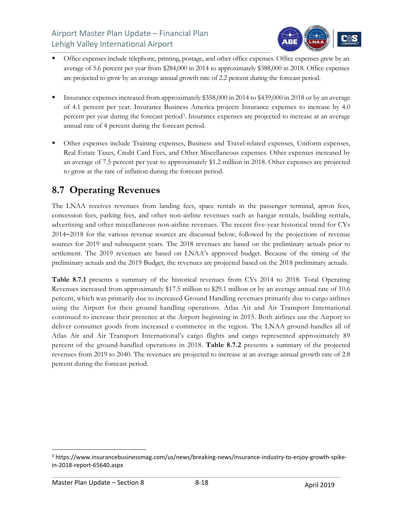

- Office expenses include telephone, printing, postage, and other office expenses. Office expenses grew by an average of 5.6 percent per year from \$284,000 in 2014 to approximately \$388,000 in 2018. Office expenses are projected to grow by an average annual growth rate of 2.2 percent during the forecast period.
- Insurance expenses increased from approximately \$358,000 in 2014 to \$439,000 in 2018 or by an average of 4.1 percent per year. Insurance Business America projects Insurance expenses to increase by 4.0 percent per year during the forecast period3. Insurance expenses are projected to increase at an average annual rate of 4 percent during the forecast period.
- Other expenses include Training expenses, Business and Travel-related expenses, Uniform expenses, Real Estate Taxes, Credit Card Fees, and Other Miscellaneous expenses. Other expenses increased by an average of 7.5 percent per year to approximately \$1.2 million in 2018. Other expenses are projected to grow at the rate of inflation during the forecast period.

## **8.7 Operating Revenues**

The LNAA receives revenues from landing fees, space rentals in the passenger terminal, apron fees, concession fees, parking fees, and other non-airline revenues such as hangar rentals, building rentals, advertising and other miscellaneous non-airline revenues. The recent five-year historical trend for CYs 2014–2018 for the various revenue sources are discussed below, followed by the projections of revenue sources for 2019 and subsequent years. The 2018 revenues are based on the preliminary actuals prior to settlement. The 2019 revenues are based on LNAA's approved budget. Because of the timing of the preliminary actuals and the 2019 Budget, the revenues are projected based on the 2018 preliminary actuals.

**Table 8.7.1** presents a summary of the historical revenues from CYs 2014 to 2018. Total Operating Revenues increased from approximately \$17.5 million to \$29.1 million or by an average annual rate of 10.6 percent, which was primarily due to increased Ground Handling revenues primarily due to cargo airlines using the Airport for their ground handling operations. Atlas Air and Air Transport International continued to increase their presence at the Airport beginning in 2015. Both airlines use the Airport to deliver consumer goods from increased e-commerce in the region. The LNAA ground-handles all of Atlas Air and Air Transport International's cargo flights and cargo represented approximately 89 percent of the ground-handled operations in 2018. **Table 8.7.2** presents a summary of the projected revenues from 2019 to 2040. The revenues are projected to increase at an average annual growth rate of 2.8 percent during the forecast period.

<sup>&</sup>lt;sup>3</sup> https://www.insurancebusinessmag.com/us/news/breaking-news/insurance-industry-to-enjoy-growth-spikein‐2018‐report‐65640.aspx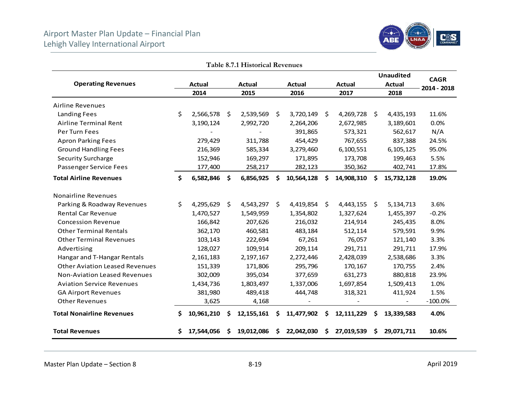

|                                       |    |               |    | Table 8.7.1 Historical Revenues |     |               |     |               |                     |                  |             |
|---------------------------------------|----|---------------|----|---------------------------------|-----|---------------|-----|---------------|---------------------|------------------|-------------|
|                                       |    |               |    |                                 |     |               |     |               |                     | <b>Unaudited</b> | <b>CAGR</b> |
| <b>Operating Revenues</b>             |    | <b>Actual</b> |    | <b>Actual</b>                   |     | <b>Actual</b> |     | <b>Actual</b> |                     | <b>Actual</b>    | 2014 - 2018 |
|                                       |    | 2014          |    | 2015                            |     | 2016          |     | 2017          |                     | 2018             |             |
| <b>Airline Revenues</b>               |    |               |    |                                 |     |               |     |               |                     |                  |             |
| <b>Landing Fees</b>                   | \$ | 2,566,578 \$  |    | 2,539,569                       | -\$ | 3,720,149     | \$  | 4,269,728     | - \$                | 4,435,193        | 11.6%       |
| Airline Terminal Rent                 |    | 3,190,124     |    | 2,992,720                       |     | 2,264,206     |     | 2,672,985     |                     | 3,189,601        | 0.0%        |
| Per Turn Fees                         |    |               |    |                                 |     | 391,865       |     | 573,321       |                     | 562,617          | N/A         |
| <b>Apron Parking Fees</b>             |    | 279,429       |    | 311,788                         |     | 454,429       |     | 767,655       |                     | 837,388          | 24.5%       |
| <b>Ground Handling Fees</b>           |    | 216,369       |    | 585,334                         |     | 3,279,460     |     | 6,100,551     |                     | 6,105,125        | 95.0%       |
| <b>Security Surcharge</b>             |    | 152,946       |    | 169,297                         |     | 171,895       |     | 173,708       |                     | 199,463          | 5.5%        |
| Passenger Service Fees                |    | 177,400       |    | 258,217                         |     | 282,123       |     | 350,362       |                     | 402,741          | 17.8%       |
| <b>Total Airline Revenues</b>         | Ś. | 6,582,846     | \$ | 6,856,925                       | \$. | 10,564,128    | \$. | 14,908,310    | \$.                 | 15,732,128       | 19.0%       |
| <b>Nonairline Revenues</b>            |    |               |    |                                 |     |               |     |               |                     |                  |             |
| Parking & Roadway Revenues            | Ś. | 4,295,629     | \$ | 4,543,297                       | \$  | 4,419,854     | \$  | 4,443,155     | $\ddot{\mathsf{s}}$ | 5,134,713        | 3.6%        |
| <b>Rental Car Revenue</b>             |    | 1,470,527     |    | 1,549,959                       |     | 1,354,802     |     | 1,327,624     |                     | 1,455,397        | $-0.2%$     |
| <b>Concession Revenue</b>             |    | 166,842       |    | 207,626                         |     | 216,032       |     | 214,914       |                     | 245,435          | 8.0%        |
| <b>Other Terminal Rentals</b>         |    | 362,170       |    | 460,581                         |     | 483,184       |     | 512,114       |                     | 579,591          | 9.9%        |
| <b>Other Terminal Revenues</b>        |    | 103,143       |    | 222,694                         |     | 67,261        |     | 76,057        |                     | 121,140          | 3.3%        |
| Advertising                           |    | 128,027       |    | 109,914                         |     | 209,114       |     | 291,711       |                     | 291,711          | 17.9%       |
| Hangar and T-Hangar Rentals           |    | 2,161,183     |    | 2,197,167                       |     | 2,272,446     |     | 2,428,039     |                     | 2,538,686        | 3.3%        |
| <b>Other Aviation Leased Revenues</b> |    | 151,339       |    | 171,806                         |     | 295,796       |     | 170,167       |                     | 170,755          | 2.4%        |
| <b>Non-Aviation Leased Revenues</b>   |    | 302,009       |    | 395,034                         |     | 377,659       |     | 631,273       |                     | 880,818          | 23.9%       |
| <b>Aviation Service Revenues</b>      |    | 1,434,736     |    | 1,803,497                       |     | 1,337,006     |     | 1,697,854     |                     | 1,509,413        | 1.0%        |
| <b>GA Airport Revenues</b>            |    | 381,980       |    | 489,418                         |     | 444,748       |     | 318,321       |                     | 411,924          | 1.5%        |
| <b>Other Revenues</b>                 |    | 3,625         |    | 4,168                           |     |               |     |               |                     |                  | $-100.0%$   |
| <b>Total Nonairline Revenues</b>      | S  | 10,961,210    | S  | 12, 155, 161                    | \$  | 11,477,902    | \$  | 12, 111, 229  | \$.                 | 13,339,583       | 4.0%        |
| <b>Total Revenues</b>                 |    | 17,544,056    | S  | 19,012,086                      | \$. | 22,042,030    | S   | 27,019,539    | S                   | 29,071,711       | 10.6%       |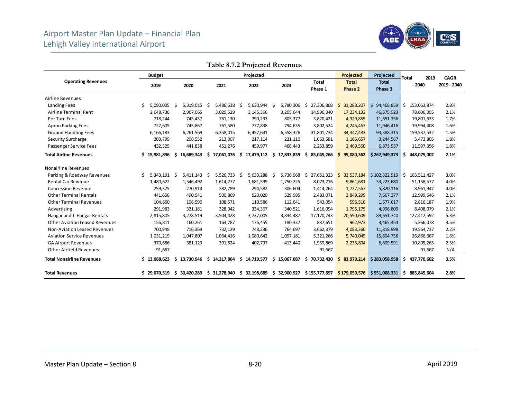

| radio 0.7.2 rojected nevenato       |                  |                   |                      |                  |                  |                  |                  |                   |                      |             |  |  |  |
|-------------------------------------|------------------|-------------------|----------------------|------------------|------------------|------------------|------------------|-------------------|----------------------|-------------|--|--|--|
|                                     | <b>Budget</b>    |                   |                      | Projected        |                  |                  | Projected        | Projected         | 2019<br><b>Total</b> | <b>CAGR</b> |  |  |  |
| <b>Operating Revenues</b>           |                  |                   |                      |                  |                  | <b>Total</b>     | <b>Total</b>     | <b>Total</b>      | $-2040$              | 2019 - 2040 |  |  |  |
|                                     | 2019             | 2020              | 2021                 | 2022             | 2023             | Phase 1          | Phase 2          | Phase 3           |                      |             |  |  |  |
| <b>Airline Revenues</b>             |                  |                   |                      |                  |                  |                  |                  |                   |                      |             |  |  |  |
| Landing Fees                        | Ś<br>5,090,005   | 5,319,015<br>-S   | $5,486,538$ \$<br>-S | 5,630,944 \$     | 5,780,306        | 27,306,808<br>S  | 31,288,207<br>S. | \$94,468,859      | S.<br>153,063,874    | 2.8%        |  |  |  |
| Airline Terminal Rent               | 2,648,736        | 2,967,065         | 3,029,529            | 3,145,366        | 3,205,644        | 14,996,340       | 17,234,132       | 46,375,923        | 78,606,395           | 2.1%        |  |  |  |
| Per Turn Fees                       | 718,244          | 745,437           | 761,130              | 790,233          | 805,377          | 3,820,421        | 4,329,855        | 11,651,356        | 19,801,633           | 1.7%        |  |  |  |
| <b>Apron Parking Fees</b>           | 722,605          | 745,867           | 761,580              | 777,838          | 794,635          | 3,802,524        | 4,245,467        | 11,946,416        | 19,994,408           | 1.6%        |  |  |  |
| <b>Ground Handling Fees</b>         | 6,166,183        | 6,261,569         | 6,358,015            | 6,457,641        | 6,558,326        | 31,801,734       | 34, 347, 483     | 93,388,315        | 159,537,532          | 1.5%        |  |  |  |
| Security Surcharge                  | 203,799          | 208,552           | 213,007              | 217,114          | 221,110          | 1,063,581        | 1, 165, 657      | 3,244,567         | 5,473,805            | 1.8%        |  |  |  |
| Passenger Service Fees              | 432,325          | 441,838           | 451,276              | 459,977          | 468,443          | 2,253,859        | 2,469,560        | 6,873,937         | 11,597,356           | 1.8%        |  |  |  |
| <b>Total Airline Revenues</b>       | \$15,981,896     | Ŝ.<br>16,689,343  | Ś.<br>17,061,076     | \$17,479,112     | Ŝ.<br>17,833,839 | Ŝ.<br>85,045,266 | Ŝ.<br>95,080,362 | \$267,949,373     | Ś.<br>448,075,002    | 2.1%        |  |  |  |
| <b>Nonairline Revenues</b>          |                  |                   |                      |                  |                  |                  |                  |                   |                      |             |  |  |  |
| Parking & Roadway Revenues          | Ś<br>5.343.191   | Ŝ.<br>5,411,143   | \$<br>5,526,733      | 5,633,288<br>\$. | 5,736,968<br>-S  | \$<br>27,651,323 | 33,537,184<br>Ś. | \$102,322,919     | Ŝ<br>163,511,427     | 3.0%        |  |  |  |
| <b>Rental Car Revenue</b>           | 1,480,622        | 1,546,492         | 1,614,277            | 1,681,599        | 1,750,225        | 8,073,216        | 9,861,681        | 33,223,680        | 51,158,577           | 4.0%        |  |  |  |
| <b>Concession Revenue</b>           | 259,375          | 270,914           | 282,789              | 294,582          | 306,604          | 1,414,264        | 1,727,567        | 5,820,116         | 8,961,947            | 4.0%        |  |  |  |
| <b>Other Terminal Rentals</b>       | 441,656          | 490,541           | 500,869              | 520,020          | 529,985          | 2,483,071        | 2,849,299        | 7,667,277         | 12,999,646           | 2.1%        |  |  |  |
| <b>Other Terminal Revenues</b>      | 104,660          | 106,596           | 108,571              | 110,586          | 112,641          | 543,054          | 595,516          | 1,677,617         | 2,816,187            | 1.9%        |  |  |  |
| Advertising                         | 291,983          | 321,181           | 328,042              | 334,367          | 340,521          | 1,616,094        | 1,795,175        | 4,996,809         | 8,408,079            | 2.1%        |  |  |  |
| Hangar and T-Hangar Rentals         | 2,815,805        | 3,278,519         | 3,504,428            | 3,737,005        | 3,834,487        | 17,170,243       | 20,590,609       | 89,651,740        | 127,412,592          | 5.3%        |  |  |  |
| Other Aviation Leased Revenues      | 156,811          | 160,261           | 163,787              | 176,455          | 180,337          | 837,651          | 962,973          | 3,465,454         | 5,266,078            | 3.5%        |  |  |  |
| <b>Non-Aviation Leased Revenues</b> | 700,948          | 716,369           | 732,129              | 748,236          | 764,697          | 3,662,379        | 4,083,360        | 11,818,998        | 19,564,737           | 2.2%        |  |  |  |
| <b>Aviation Service Revenues</b>    | 1,031,219        | 1,047,807         | 1,064,416            | 1,080,642        | 1,097,181        | 5,321,266        | 5,740,045        | 15,804,756        | 26,866,067           | 1.6%        |  |  |  |
| <b>GA Airport Revenues</b>          | 370,686          | 381,123           | 391,824              | 402,797          | 413,440          | 1,959,869        | 2,235,804        | 6,609,591         | 10,805,265           | 2.5%        |  |  |  |
| <b>Other Airfield Revenues</b>      | 91,667           |                   |                      |                  |                  | 91,667           |                  |                   | 91,667               | N/A         |  |  |  |
| <b>Total Nonairline Revenues</b>    | \$13.088.623     | \$.<br>13.730.946 | 14,217,864<br>Ś.     | \$14,719,577     | \$15,067,087     | \$70,732,430     | Ś.<br>83.979.214 | \$283,058,958     | Ś.<br>437.770.602    | 3.5%        |  |  |  |
| <b>Total Revenues</b>               | Ś.<br>29,070,519 | 30,420,289<br>S   | 31,278,940<br>\$     | \$32,198,689     | \$32,900,927     | \$155,777,697    | \$179,059,576    | $$551,008,331$ \$ | 885,845,604          | 2.8%        |  |  |  |

**Table 8.7.2 Projected Revenues**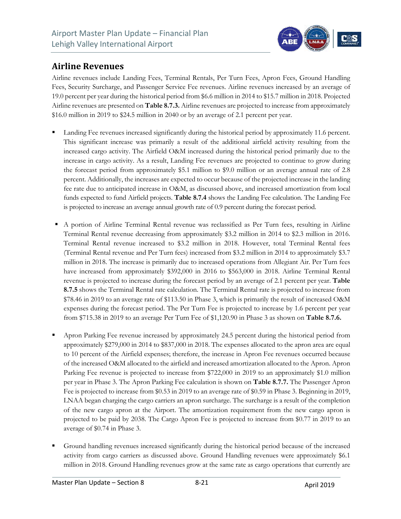

#### **Airline Revenues**

Airline revenues include Landing Fees, Terminal Rentals, Per Turn Fees, Apron Fees, Ground Handling Fees, Security Surcharge, and Passenger Service Fee revenues. Airline revenues increased by an average of 19.0 percent per year during the historical period from \$6.6 million in 2014 to \$15.7 million in 2018. Projected Airline revenues are presented on **Table 8.7.3.** Airline revenues are projected to increase from approximately \$16.0 million in 2019 to \$24.5 million in 2040 or by an average of 2.1 percent per year.

- Landing Fee revenues increased significantly during the historical period by approximately 11.6 percent. This significant increase was primarily a result of the additional airfield activity resulting from the increased cargo activity. The Airfield O&M increased during the historical period primarily due to the increase in cargo activity. As a result, Landing Fee revenues are projected to continue to grow during the forecast period from approximately \$5.1 million to \$9.0 million or an average annual rate of 2.8 percent. Additionally, the increases are expected to occur because of the projected increase in the landing fee rate due to anticipated increase in O&M, as discussed above, and increased amortization from local funds expected to fund Airfield projects. **Table 8.7.4** shows the Landing Fee calculation. The Landing Fee is projected to increase an average annual growth rate of 0.9 percent during the forecast period.
- A portion of Airline Terminal Rental revenue was reclassified as Per Turn fees, resulting in Airline Terminal Rental revenue decreasing from approximately \$3.2 million in 2014 to \$2.3 million in 2016. Terminal Rental revenue increased to \$3.2 million in 2018. However, total Terminal Rental fees (Terminal Rental revenue and Per Turn fees) increased from \$3.2 million in 2014 to approximately \$3.7 million in 2018. The increase is primarily due to increased operations from Allegiant Air. Per Turn fees have increased from approximately \$392,000 in 2016 to \$563,000 in 2018. Airline Terminal Rental revenue is projected to increase during the forecast period by an average of 2.1 percent per year. **Table 8.7.5** shows the Terminal Rental rate calculation. The Terminal Rental rate is projected to increase from \$78.46 in 2019 to an average rate of \$113.50 in Phase 3, which is primarily the result of increased O&M expenses during the forecast period. The Per Turn Fee is projected to increase by 1.6 percent per year from \$715.38 in 2019 to an average Per Turn Fee of \$1,120.90 in Phase 3 as shown on **Table 8.7.6.**
- Apron Parking Fee revenue increased by approximately 24.5 percent during the historical period from approximately \$279,000 in 2014 to \$837,000 in 2018. The expenses allocated to the apron area are equal to 10 percent of the Airfield expenses; therefore, the increase in Apron Fee revenues occurred because of the increased O&M allocated to the airfield and increased amortization allocated to the Apron. Apron Parking Fee revenue is projected to increase from \$722,000 in 2019 to an approximately \$1.0 million per year in Phase 3. The Apron Parking Fee calculation is shown on **Table 8.7.7.** The Passenger Apron Fee is projected to increase from \$0.53 in 2019 to an average rate of \$0.59 in Phase 3. Beginning in 2019, LNAA began charging the cargo carriers an apron surcharge. The surcharge is a result of the completion of the new cargo apron at the Airport. The amortization requirement from the new cargo apron is projected to be paid by 2038. The Cargo Apron Fee is projected to increase from \$0.77 in 2019 to an average of \$0.74 in Phase 3.
- Ground handling revenues increased significantly during the historical period because of the increased activity from cargo carriers as discussed above. Ground Handling revenues were approximately \$6.1 million in 2018. Ground Handling revenues grow at the same rate as cargo operations that currently are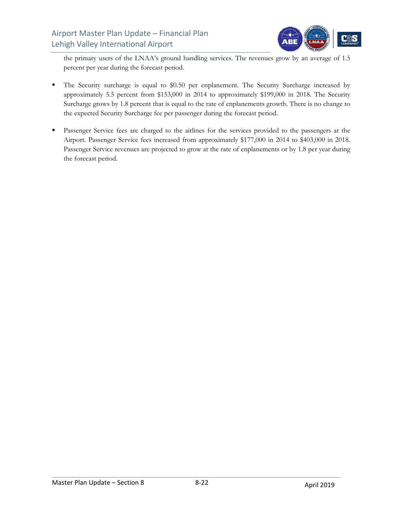

the primary users of the LNAA's ground handling services. The revenues grow by an average of 1.5 percent per year during the forecast period.

- The Security surcharge is equal to \$0.50 per enplanement. The Security Surcharge increased by approximately 5.5 percent from \$153,000 in 2014 to approximately \$199,000 in 2018. The Security Surcharge grows by 1.8 percent that is equal to the rate of enplanements growth. There is no change to the expected Security Surcharge fee per passenger during the forecast period.
- **Passenger Service fees are charged to the airlines for the services provided to the passengers at the** Airport. Passenger Service fees increased from approximately \$177,000 in 2014 to \$403,000 in 2018. Passenger Service revenues are projected to grow at the rate of enplanements or by 1.8 per year during the forecast period.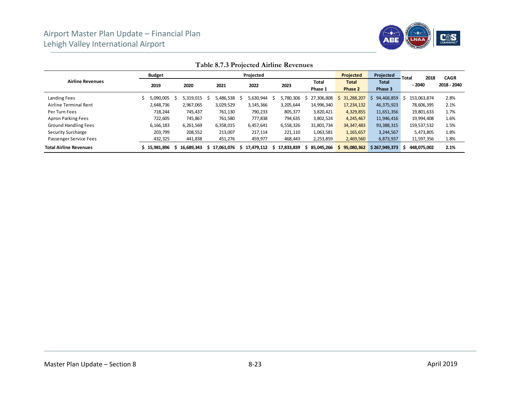

|                               | <b>Budget</b> |            |            | Projected    |                 |                         | Projected               | Projected               | 2018<br><b>Total</b> | <b>CAGR</b> |
|-------------------------------|---------------|------------|------------|--------------|-----------------|-------------------------|-------------------------|-------------------------|----------------------|-------------|
| <b>Airline Revenues</b>       | 2019          | 2020       | 2021       |              | 2023            | <b>Total</b><br>Phase 1 | <b>Total</b><br>Phase 2 | <b>Total</b><br>Phase 3 | $-2040$              | 2018 - 2040 |
| Landing Fees                  | 5,090,005     | 5,319,015  | 5,486,538  | 5,630,944    | 5,780,306       | 27.306.808              | 31,288,207              | 94,468,859<br>S.        | 153.063.874          | 2.8%        |
| Airline Terminal Rent         | 2,648,736     | 2,967,065  | 3,029,529  | 3,145,366    | 3,205,644       | 14,996,340              | 17,234,132              | 46,375,923              | 78,606,395           | 2.1%        |
| Per Turn Fees                 | 718.244       | 745,437    | 761,130    | 790,233      | 805,377         | 3,820,421               | 4,329,855               | 11,651,356              | 19,801,633           | 1.7%        |
| Apron Parking Fees            | 722.605       | 745.867    | 761,580    | 777,838      | 794,635         | 3,802,524               | 4,245,467               | 11,946,416              | 19.994.408           | 1.6%        |
| <b>Ground Handling Fees</b>   | 6,166,183     | 6,261,569  | 6,358,015  | 6,457,641    | 6,558,326       | 31,801,734              | 34, 347, 483            | 93,388,315              | 159,537,532          | 1.5%        |
| Security Surcharge            | 203.799       | 208,552    | 213,007    | 217,114      | 221,110         | 1,063,581               | 1,165,657               | 3,244,567               | 5,473,805            | 1.8%        |
| Passenger Service Fees        | 432,325       | 441,838    | 451,276    | 459,977      | 468,443         | 2,253,859               | 2,469,560               | 6,873,937               | 11,597,356           | 1.8%        |
| <b>Total Airline Revenues</b> | 15,981,896    | 16.689.343 | 17.061.076 | \$17.479.112 | 17,833,839<br>s | 85.045.266<br>S.        | 95,080,362<br>S.        | \$267,949,373           | 448,075,002          | 2.1%        |

#### **Table 8.7.3 Projected Airline Revenues**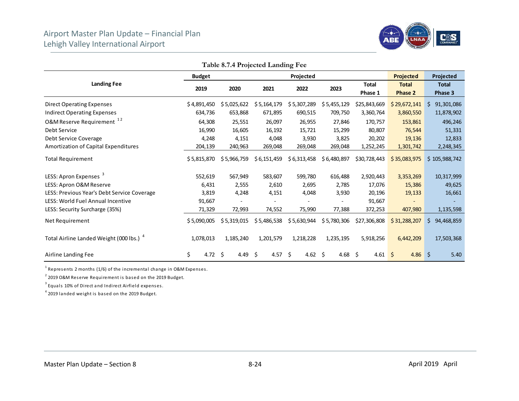

|                                                     |               |             | I able 8.7.4 Projected Landing Fee |                 |             |                         |                                |                         |
|-----------------------------------------------------|---------------|-------------|------------------------------------|-----------------|-------------|-------------------------|--------------------------------|-------------------------|
|                                                     | <b>Budget</b> |             |                                    | Projected       |             |                         | <b>Projected</b>               | Projected               |
| <b>Landing Fee</b>                                  | 2019          | 2020        | 2021                               | 2022            | 2023        | <b>Total</b><br>Phase 1 | <b>Total</b><br><b>Phase 2</b> | <b>Total</b><br>Phase 3 |
| <b>Direct Operating Expenses</b>                    | \$4,891,450   | \$5,025,622 | \$5,164,179                        | \$5,307,289     | \$5,455,129 | \$25,843,669            | \$29,672,141                   | S.<br>91,301,086        |
| <b>Indirect Operating Expenses</b>                  | 634,736       | 653,868     | 671,895                            | 690,515         | 709,750     | 3,360,764               | 3,860,550                      | 11,878,902              |
| O&M Reserve Requirement <sup>12</sup>               | 64,308        | 25,551      | 26,097                             | 26,955          | 27,846      | 170,757                 | 153,861                        | 496,246                 |
| Debt Service                                        | 16,990        | 16,605      | 16,192                             | 15,721          | 15,299      | 80,807                  | 76,544                         | 51,331                  |
| Debt Service Coverage                               | 4,248         | 4,151       | 4,048                              | 3,930           | 3,825       | 20,202                  | 19,136                         | 12,833                  |
| Amortization of Capital Expenditures                | 204,139       | 240,963     | 269,048                            | 269,048         | 269,048     | 1,252,245               | 1,301,742                      | 2,248,345               |
| <b>Total Requirement</b>                            | \$5,815,870   | \$5,966,759 | \$6,151,459                        | \$6,313,458     | \$6,480,897 | \$30,728,443            | \$35,083,975                   | \$105,988,742           |
| LESS: Apron Expenses <sup>3</sup>                   | 552,619       | 567,949     | 583,607                            | 599,780         | 616,488     | 2,920,443               | 3,353,269                      | 10,317,999              |
| LESS: Apron O&M Reserve                             | 6,431         | 2,555       | 2,610                              | 2,695           | 2,785       | 17,076                  | 15,386                         | 49,625                  |
| LESS: Previous Year's Debt Service Coverage         | 3,819         | 4,248       | 4,151                              | 4,048           | 3,930       | 20,196                  | 19,133                         | 16,661                  |
| LESS: World Fuel Annual Incentive                   | 91,667        |             |                                    |                 |             | 91,667                  |                                |                         |
| LESS: Security Surcharge (35%)                      | 71,329        | 72,993      | 74,552                             | 75,990          | 77,388      | 372,253                 | 407,980                        | 1,135,598               |
| Net Requirement                                     | \$5,090,005   | \$5,319,015 | \$5,486,538                        | \$5,630,944     | \$5,780,306 | \$27,306,808            | \$31,288,207                   | 94,468,859<br>S.        |
| Total Airline Landed Weight (000 lbs.) <sup>4</sup> | 1,078,013     | 1,185,240   | 1,201,579                          | 1,218,228       | 1,235,195   | 5,918,256               | 6,442,209                      | 17,503,368              |
| Airline Landing Fee                                 | \$<br>4.72 \$ | 4.49        | 4.57<br>-\$                        | 4.62 \$<br>- \$ | 4.68 \$     | $4.61 \, \simeq$        | 4.86                           | -\$<br>5.40             |

**Table 8.7.4 Projected Landing Fee** 

 $1$  Represents 2 months (1/6) of the incremental change in O&M Expenses.

 $2$  2019 O&M Reserve Requirement is based on the 2019 Budget.

 $3$  Equals 10% of Direct and Indirect Airfield expenses.

4 2019 landed weight is ba sed on the 2019 Budge t.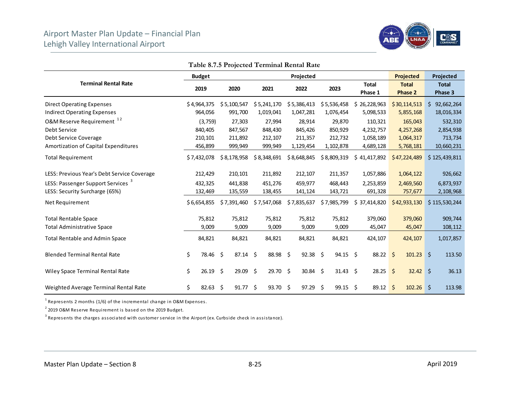

|                                               | <b>Budget</b>  |             |         |    |             |     | Projected   |     |                 |               | <b>Projected</b> | Projected        |
|-----------------------------------------------|----------------|-------------|---------|----|-------------|-----|-------------|-----|-----------------|---------------|------------------|------------------|
| <b>Terminal Rental Rate</b>                   | 2019           | 2020        |         |    | 2021        |     | 2022        |     | 2023            | <b>Total</b>  | <b>Total</b>     | <b>Total</b>     |
|                                               |                |             |         |    |             |     |             |     |                 | Phase 1       | Phase 2          | Phase 3          |
| <b>Direct Operating Expenses</b>              | \$4,964,375    | \$5,100,547 |         |    | \$5,241,170 |     | \$5,386,413 |     | \$5,536,458     | \$26,228,963  | \$30,114,513     | 92,662,264<br>Ŝ. |
| <b>Indirect Operating Expenses</b>            | 964,056        |             | 991,700 |    | 1,019,041   |     | 1,047,281   |     | 1,076,454       | 5,098,533     | 5,855,168        | 18,016,334       |
| O&M Reserve Requirement <sup>12</sup>         | (3,759)        |             | 27,303  |    | 27,994      |     | 28,914      |     | 29,870          | 110,321       | 165,043          | 532,310          |
| Debt Service                                  | 840,405        |             | 847,567 |    | 848,430     |     | 845,426     |     | 850,929         | 4,232,757     | 4,257,268        | 2,854,938        |
| Debt Service Coverage                         | 210,101        |             | 211,892 |    | 212,107     |     | 211,357     |     | 212,732         | 1,058,189     | 1,064,317        | 713,734          |
| Amortization of Capital Expenditures          | 456,899        |             | 999,949 |    | 999,949     |     | 1,129,454   |     | 1,102,878       | 4,689,128     | 5,768,181        | 10,660,231       |
| <b>Total Requirement</b>                      | \$7,432,078    | \$8,178,958 |         |    | \$8,348,691 |     | \$8,648,845 |     | \$8,809,319     | \$41,417,892  | \$47,224,489     | \$125,439,811    |
| LESS: Previous Year's Debt Service Coverage   | 212,429        |             | 210,101 |    | 211,892     |     | 212,107     |     | 211,357         | 1,057,886     | 1,064,122        | 926,662          |
| LESS: Passenger Support Services <sup>3</sup> | 432,325        |             | 441,838 |    | 451,276     |     | 459,977     |     | 468,443         | 2,253,859     | 2,469,560        | 6,873,937        |
| LESS: Security Surcharge (65%)                | 132,469        |             | 135,559 |    | 138,455     |     | 141,124     |     | 143,721         | 691,328       | 757,677          | 2,108,968        |
| Net Requirement                               | \$6,654,855    | \$7,391,460 |         |    | \$7,547,068 |     | \$7,835,637 |     | \$7,985,799     | \$37,414,820  | \$42,933,130     | \$115,530,244    |
| <b>Total Rentable Space</b>                   | 75,812         |             | 75,812  |    | 75,812      |     | 75,812      |     | 75,812          | 379,060       | 379,060          | 909,744          |
| <b>Total Administrative Space</b>             | 9,009          |             | 9,009   |    | 9,009       |     | 9,009       |     | 9,009           | 45,047        | 45,047           | 108,112          |
| Total Rentable and Admin Space                | 84,821         |             | 84,821  |    | 84,821      |     | 84,821      |     | 84,821          | 424,107       | 424,107          | 1,017,857        |
| <b>Blended Terminal Rental Rate</b>           | \$<br>78.46 \$ |             | 87.14   | Ŝ. | 88.98       | \$  | 92.38       | \$  | $94.15 \quad $$ | 88.22         | \$<br>101.23     | \$<br>113.50     |
| Wiley Space Terminal Rental Rate              | \$<br>26.19    | -\$         | 29.09   | Ŝ. | 29.70       | \$  | 30.84       | \$  | $31.43 \quad $$ | $28.25$ \$    | 32.42            | \$<br>36.13      |
| Weighted Average Terminal Rental Rate         | \$<br>82.63    | -\$         | 91.77   | Ŝ. | 93.70       | -\$ | 97.29       | -\$ | $99.15$ \$      | $89.12 \quad$ | 102.26           | \$<br>113.98     |

**Table 8.7.5 Projected Terminal Rental Rate** 

 $1$  Represents 2 months (1/6) of the incremental change in O&M Expenses.

 $2$  2019 O&M Reserve Requirement is based on the 2019 Budget.

 $3$  Represents the charges associated with customer service in the Airport (ex. Curbside check in assistance).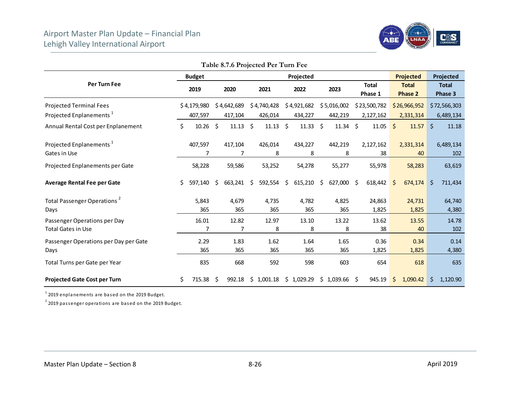

|                                                           |    |               |    | Table 8.7.6 Projected Per Turn Fee |    |                 |                         |    |               |      |                         |     |                                |     |                         |
|-----------------------------------------------------------|----|---------------|----|------------------------------------|----|-----------------|-------------------------|----|---------------|------|-------------------------|-----|--------------------------------|-----|-------------------------|
|                                                           |    | <b>Budget</b> |    |                                    |    |                 | Projected               |    |               |      |                         |     | Projected                      |     | Projected               |
| Per Turn Fee                                              |    | 2019          |    | 2020                               |    | 2021            | 2022                    |    | 2023          |      | <b>Total</b><br>Phase 1 |     | <b>Total</b><br><b>Phase 2</b> |     | <b>Total</b><br>Phase 3 |
| <b>Projected Terminal Fees</b>                            |    | \$4,179,980   |    | \$4,642,689                        |    | \$4,740,428     | \$4,921,682             |    | \$5,016,002   |      | \$23,500,782            |     | \$26,966,952                   |     | \$72,566,303            |
| Projected Enplanements <sup>1</sup>                       |    | 407,597       |    | 417,104                            |    | 426,014         | 434,227                 |    | 442,219       |      | 2,127,162               |     | 2,331,314                      |     | 6,489,134               |
| Annual Rental Cost per Enplanement                        | \$ | $10.26$ \$    |    | $11.13 \; \; \; \;$ \$             |    | $11.13 \quad $$ | 11.33                   | Ŝ. | $11.34 \pm 5$ |      | 11.05                   | \$  | $11.57$ \$                     |     | 11.18                   |
| Projected Enplanements <sup>1</sup><br>Gates in Use       |    | 407,597<br>7  |    | 417,104<br>7                       |    | 426,014<br>8    | 434,227<br>8            |    | 442,219<br>8  |      | 2,127,162<br>38         |     | 2,331,314<br>40                |     | 6,489,134<br>102        |
| Projected Enplanements per Gate                           |    | 58,228        |    | 59,586                             |    | 53,252          | 54,278                  |    | 55,277        |      | 55,978                  |     | 58,283                         |     | 63,619                  |
| <b>Average Rental Fee per Gate</b>                        | Ś. | 597,140       | Ŝ. | 663,241                            | Ŝ. | 592,554         | \$<br>615,210           | Ŝ. | 627,000       | - \$ | 618,442                 | Ŝ.  | 674,174                        | Ŝ.  | 711,434                 |
| Total Passenger Operations <sup>2</sup><br>Days           |    | 5,843<br>365  |    | 4,679<br>365                       |    | 4,735<br>365    | 4,782<br>365            |    | 4,825<br>365  |      | 24,863<br>1,825         |     | 24,731<br>1,825                |     | 64,740<br>4,380         |
| Passenger Operations per Day<br><b>Total Gates in Use</b> |    | 16.01<br>7    |    | 12.82<br>7                         |    | 12.97<br>8      | 13.10<br>8              |    | 13.22<br>8    |      | 13.62<br>38             |     | 13.55<br>40                    |     | 14.78<br>102            |
| Passenger Operations per Day per Gate<br>Days             |    | 2.29<br>365   |    | 1.83<br>365                        |    | 1.62<br>365     | 1.64<br>365             |    | 1.65<br>365   |      | 0.36<br>1,825           |     | 0.34<br>1,825                  |     | 0.14<br>4,380           |
| Total Turns per Gate per Year                             |    | 835           |    | 668                                |    | 592             | 598                     |    | 603           |      | 654                     |     | 618                            |     | 635                     |
| <b>Projected Gate Cost per Turn</b>                       | \$ | 715.38        | S. | 992.18                             |    |                 | $$1,001.18$ $$1,029.29$ |    | \$1,039.66    | -\$  | 945.19                  | \$. | 1,090.42                       | \$. | 1,120.90                |

 $1$  2019 enplanements are based on the 2019 Budget.

 $2$  2019 passenger operations are based on the 2019 Budget.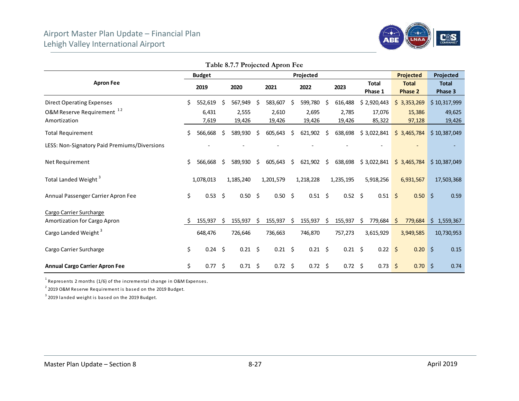

|                                                                                           |    |                           |    |                            |    | Table 8.7.7 Projected Apron Fee |    |                            |    |                            |    |                                 |              |                                 |            |                                  |
|-------------------------------------------------------------------------------------------|----|---------------------------|----|----------------------------|----|---------------------------------|----|----------------------------|----|----------------------------|----|---------------------------------|--------------|---------------------------------|------------|----------------------------------|
|                                                                                           |    | <b>Budget</b>             |    |                            |    |                                 |    | Projected                  |    |                            |    |                                 |              | <b>Projected</b>                |            | Projected                        |
| <b>Apron Fee</b>                                                                          |    | 2019                      |    | 2020                       |    | 2021                            |    | 2022                       |    | 2023                       |    | <b>Total</b><br>Phase 1         |              | <b>Total</b><br><b>Phase 2</b>  |            | <b>Total</b><br>Phase 3          |
| <b>Direct Operating Expenses</b><br>O&M Reserve Requirement <sup>12</sup><br>Amortization | Ś. | 552,619<br>6,431<br>7,619 | \$ | 567,949<br>2,555<br>19,426 | S  | 583,607<br>2,610<br>19,426      | \$ | 599,780<br>2,695<br>19,426 | S  | 616,488<br>2,785<br>19,426 |    | \$2,920,443<br>17,076<br>85,322 |              | \$3,353,269<br>15,386<br>97,128 |            | \$10,317,999<br>49,625<br>19,426 |
| <b>Total Requirement</b>                                                                  | \$ | 566,668                   | Ŝ. | 589,930                    | Ŝ. | 605,643                         | Ŝ. | 621,902                    | \$ | 638,698                    |    | \$3,022,841                     |              | \$3,465,784                     |            | \$10,387,049                     |
| LESS: Non-Signatory Paid Premiums/Diversions                                              |    |                           |    |                            |    |                                 |    |                            |    |                            |    |                                 |              |                                 |            |                                  |
| Net Requirement                                                                           | \$ | 566,668                   | S  | 589,930                    | \$ | 605,643                         | \$ | 621,902                    | \$ | 638,698                    |    | \$3,022,841                     |              | \$3,465,784                     |            | \$10,387,049                     |
| Total Landed Weight <sup>3</sup>                                                          |    | 1,078,013                 |    | 1,185,240                  |    | 1,201,579                       |    | 1,218,228                  |    | 1,235,195                  |    | 5,918,256                       |              | 6,931,567                       |            | 17,503,368                       |
| Annual Passenger Carrier Apron Fee                                                        | \$ | $0.53$ \$                 |    | 0.50%                      |    | $0.50\frac{2}{3}$               |    | $0.51 \; \S$               |    | $0.52 \quad $$             |    | $0.51 \, \succeq$               |              | 0.50                            | $\vert$ \$ | 0.59                             |
| Cargo Carrier Surcharge<br>Amortization for Cargo Apron                                   |    | 155,937                   | S  | 155,937                    | \$ | 155,937                         | Ŝ. | 155,937                    | \$ | 155,937                    | \$ | 779,684                         | <sub>S</sub> | 779,684                         |            | \$1,559,367                      |
| Cargo Landed Weight <sup>3</sup>                                                          |    | 648,476                   |    | 726,646                    |    | 736,663                         |    | 746,870                    |    | 757,273                    |    | 3,615,929                       |              | 3,949,585                       |            | 10,730,953                       |
| Cargo Carrier Surcharge                                                                   | \$ | $0.24$ \$                 |    | $0.21$ \$                  |    | $0.21 \quad $$                  |    | $0.21 \quad $$             |    | 0.21                       | Ŝ. | $0.22$ \$                       |              | $0.20$ \$                       |            | 0.15                             |
| <b>Annual Cargo Carrier Apron Fee</b>                                                     | \$ | $0.77$ \$                 |    | $0.71 \; \S$               |    | $0.72 \quad $$                  |    | $0.72 \quad $$             |    | $0.72 \quad $$             |    | 0.73                            | \$           | $0.70$ \$                       |            | 0.74                             |

 $1$  Represents 2 months (1/6) of the incremental change in O&M Expenses.

 $2$  2019 O&M Reserve Requirement is based on the 2019 Budget.

 $3$  2019 landed weight is based on the 2019 Budget.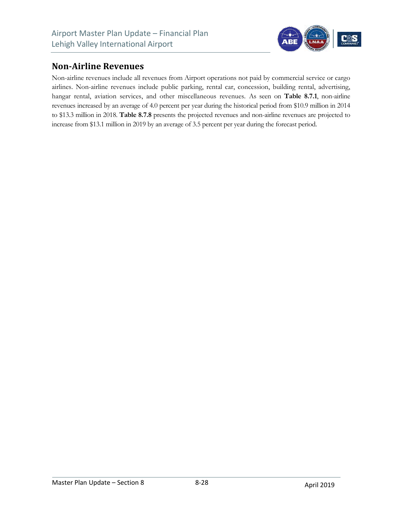

#### **Non‐Airline Revenues**

Non-airline revenues include all revenues from Airport operations not paid by commercial service or cargo airlines. Non-airline revenues include public parking, rental car, concession, building rental, advertising, hangar rental, aviation services, and other miscellaneous revenues. As seen on Table 8.7.1, non-airline revenues increased by an average of 4.0 percent per year during the historical period from \$10.9 million in 2014 to \$13.3 million in 2018. **Table 8.7.8** presents the projected revenues and non-airline revenues are projected to increase from \$13.1 million in 2019 by an average of 3.5 percent per year during the forecast period.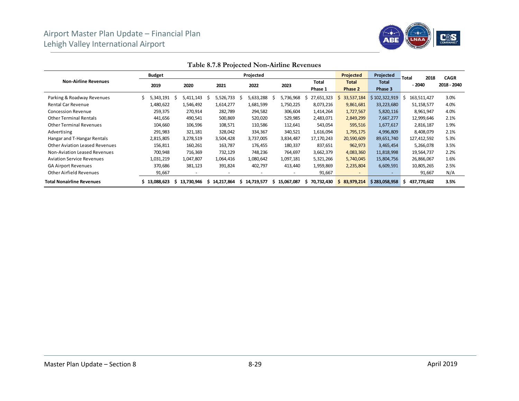

|                                       | <b>Budget</b>  |                 |                          | Projected       |                          |                  | <b>Projected</b>         | Projected               | 2018<br><b>Total</b> | <b>CAGR</b> |
|---------------------------------------|----------------|-----------------|--------------------------|-----------------|--------------------------|------------------|--------------------------|-------------------------|----------------------|-------------|
| <b>Non-Airline Revenues</b>           | 2019           | 2020            | 2021                     | 2022            | 2023                     | Total<br>Phase 1 | <b>Total</b><br>Phase 2  | <b>Total</b><br>Phase 3 | $-2040$              | 2018 - 2040 |
| Parking & Roadway Revenues            | Ś<br>5,343,191 | 5,411,143<br>S  | 5,526,733<br>S           | 5,633,288<br>S  | 5,736,968                | 27,651,323       | 33,537,184               | \$102,322,919           | 163,511,427          | 3.0%        |
| <b>Rental Car Revenue</b>             | 1,480,622      | 1,546,492       | 1,614,277                | 1,681,599       | 1,750,225                | 8,073,216        | 9,861,681                | 33,223,680              | 51,158,577           | 4.0%        |
| <b>Concession Revenue</b>             | 259,375        | 270,914         | 282,789                  | 294,582         | 306,604                  | 1,414,264        | 1,727,567                | 5,820,116               | 8,961,947            | 4.0%        |
| <b>Other Terminal Rentals</b>         | 441,656        | 490,541         | 500,869                  | 520,020         | 529,985                  | 2,483,071        | 2,849,299                | 7,667,277               | 12,999,646           | 2.1%        |
| <b>Other Terminal Revenues</b>        | 104,660        | 106,596         | 108,571                  | 110,586         | 112,641                  | 543,054          | 595,516                  | 1,677,617               | 2,816,187            | 1.9%        |
| Advertising                           | 291,983        | 321,181         | 328,042                  | 334,367         | 340,521                  | 1,616,094        | 1,795,175                | 4,996,809               | 8,408,079            | 2.1%        |
| Hangar and T-Hangar Rentals           | 2,815,805      | 3,278,519       | 3,504,428                | 3,737,005       | 3,834,487                | 17,170,243       | 20,590,609               | 89,651,740              | 127,412,592          | 5.3%        |
| <b>Other Aviation Leased Revenues</b> | 156,811        | 160,261         | 163,787                  | 176,455         | 180,337                  | 837,651          | 962,973                  | 3,465,454               | 5,266,078            | 3.5%        |
| Non-Aviation Leased Revenues          | 700,948        | 716,369         | 732,129                  | 748,236         | 764,697                  | 3,662,379        | 4,083,360                | 11,818,998              | 19,564,737           | 2.2%        |
| <b>Aviation Service Revenues</b>      | 1,031,219      | 1,047,807       | 1,064,416                | 1,080,642       | 1,097,181                | 5,321,266        | 5,740,045                | 15,804,756              | 26,866,067           | 1.6%        |
| <b>GA Airport Revenues</b>            | 370,686        | 381,123         | 391,824                  | 402,797         | 413,440                  | 1,959,869        | 2,235,804                | 6,609,591               | 10,805,265           | 2.5%        |
| Other Airfield Revenues               | 91,667         |                 | $\overline{\phantom{a}}$ |                 | $\overline{\phantom{a}}$ | 91,667           | $\overline{\phantom{a}}$ |                         | 91,667               | N/A         |
| <b>Total Nonairline Revenues</b>      | \$13,088,623   | 13.730.946<br>s | 14,217,864<br>s          | 14,719,577<br>s | 15,067,087               | 70,732,430<br>s  | 83,979,214<br>S          | \$283,058,958           | 437,770,602          | 3.5%        |

**Table 8.7.8 Projected Non-Airline Revenues**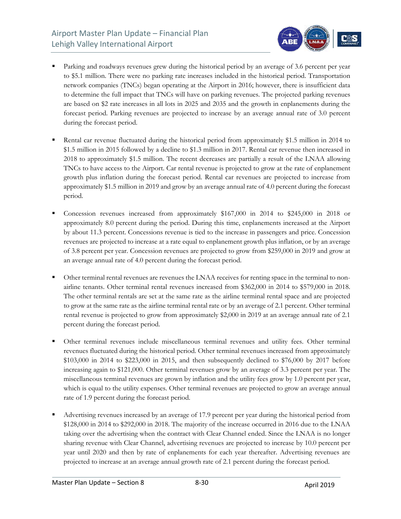

- Parking and roadways revenues grew during the historical period by an average of 3.6 percent per year to \$5.1 million. There were no parking rate increases included in the historical period. Transportation network companies (TNCs) began operating at the Airport in 2016; however, there is insufficient data to determine the full impact that TNCs will have on parking revenues. The projected parking revenues are based on \$2 rate increases in all lots in 2025 and 2035 and the growth in enplanements during the forecast period. Parking revenues are projected to increase by an average annual rate of 3.0 percent during the forecast period.
- Rental car revenue fluctuated during the historical period from approximately \$1.5 million in 2014 to \$1.5 million in 2015 followed by a decline to \$1.3 million in 2017. Rental car revenue then increased in 2018 to approximately \$1.5 million. The recent decreases are partially a result of the LNAA allowing TNCs to have access to the Airport. Car rental revenue is projected to grow at the rate of enplanement growth plus inflation during the forecast period. Rental car revenues are projected to increase from approximately \$1.5 million in 2019 and grow by an average annual rate of 4.0 percent during the forecast period.
- Concession revenues increased from approximately \$167,000 in 2014 to \$245,000 in 2018 or approximately 8.0 percent during the period. During this time, enplanements increased at the Airport by about 11.3 percent. Concessions revenue is tied to the increase in passengers and price. Concession revenues are projected to increase at a rate equal to enplanement growth plus inflation, or by an average of 3.8 percent per year. Concession revenues are projected to grow from \$259,000 in 2019 and grow at an average annual rate of 4.0 percent during the forecast period.
- Other terminal rental revenues are revenues the LNAA receives for renting space in the terminal to nonairline tenants. Other terminal rental revenues increased from \$362,000 in 2014 to \$579,000 in 2018. The other terminal rentals are set at the same rate as the airline terminal rental space and are projected to grow at the same rate as the airline terminal rental rate or by an average of 2.1 percent. Other terminal rental revenue is projected to grow from approximately \$2,000 in 2019 at an average annual rate of 2.1 percent during the forecast period.
- Other terminal revenues include miscellaneous terminal revenues and utility fees. Other terminal revenues fluctuated during the historical period. Other terminal revenues increased from approximately \$103,000 in 2014 to \$223,000 in 2015, and then subsequently declined to \$76,000 by 2017 before increasing again to \$121,000. Other terminal revenues grow by an average of 3.3 percent per year. The miscellaneous terminal revenues are grown by inflation and the utility fees grow by 1.0 percent per year, which is equal to the utility expenses. Other terminal revenues are projected to grow an average annual rate of 1.9 percent during the forecast period.
- Advertising revenues increased by an average of 17.9 percent per year during the historical period from \$128,000 in 2014 to \$292,000 in 2018. The majority of the increase occurred in 2016 due to the LNAA taking over the advertising when the contract with Clear Channel ended. Since the LNAA is no longer sharing revenue with Clear Channel, advertising revenues are projected to increase by 10.0 percent per year until 2020 and then by rate of enplanements for each year thereafter. Advertising revenues are projected to increase at an average annual growth rate of 2.1 percent during the forecast period.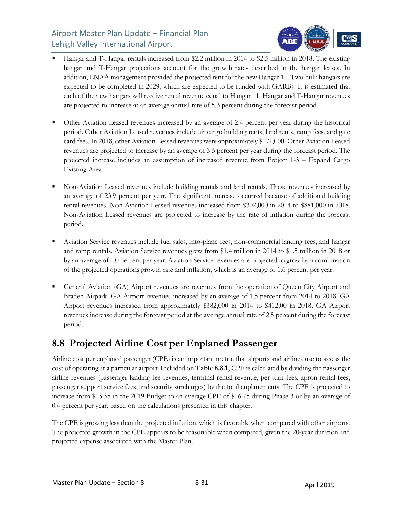

- Hangar and T-Hangar rentals increased from \$2.2 million in 2014 to \$2.5 million in 2018. The existing hangar and T-Hangar projections account for the growth rates described in the hangar leases. In addition, LNAA management provided the projected rent for the new Hangar 11. Two bulk hangars are expected to be completed in 2029, which are expected to be funded with GARBs. It is estimated that each of the new hangars will receive rental revenue equal to Hangar 11. Hangar and T-Hangar revenues are projected to increase at an average annual rate of 5.3 percent during the forecast period.
- Other Aviation Leased revenues increased by an average of 2.4 percent per year during the historical period. Other Aviation Leased revenues include air cargo building rents, land rents, ramp fees, and gate card fees. In 2018, other Aviation Leased revenues were approximately \$171,000. Other Aviation Leased revenues are projected to increase by an average of 3.5 percent per year during the forecast period. The projected increase includes an assumption of increased revenue from Project 1-3 – Expand Cargo Existing Area.
- Non-Aviation Leased revenues include building rentals and land rentals. These revenues increased by an average of 23.9 percent per year. The significant increase occurred because of additional building rental revenues. Non-Aviation Leased revenues increased from \$302,000 in 2014 to \$881,000 in 2018. Non-Aviation Leased revenues are projected to increase by the rate of inflation during the forecast period.
- Aviation Service revenues include fuel sales, into-plane fees, non-commercial landing fees, and hangar and ramp rentals. Aviation Service revenues grew from \$1.4 million in 2014 to \$1.5 million in 2018 or by an average of 1.0 percent per year. Aviation Service revenues are projected to grow by a combination of the projected operations growth rate and inflation, which is an average of 1.6 percent per year.
- General Aviation (GA) Airport revenues are revenues from the operation of Queen City Airport and Braden Airpark. GA Airport revenues increased by an average of 1.5 percent from 2014 to 2018. GA Airport revenues increased from approximately \$382,000 in 2014 to \$412,00 in 2018. GA Airport revenues increase during the forecast period at the average annual rate of 2.5 percent during the forecast period.

## **8.8 Projected Airline Cost per Enplaned Passenger**

Airline cost per enplaned passenger (CPE) is an important metric that airports and airlines use to assess the cost of operating at a particular airport. Included on **Table 8.8.1,** CPE is calculated by dividing the passenger airline revenues (passenger landing fee revenues, terminal rental revenue, per turn fees, apron rental fees, passenger support service fees, and security surcharges) by the total enplanements. The CPE is projected to increase from \$15.35 in the 2019 Budget to an average CPE of \$16.75 during Phase 3 or by an average of 0.4 percent per year, based on the calculations presented in this chapter.

The CPE is growing less than the projected inflation, which is favorable when compared with other airports. The projected growth in the CPE appears to be reasonable when compared, given the 20-year duration and projected expense associated with the Master Plan.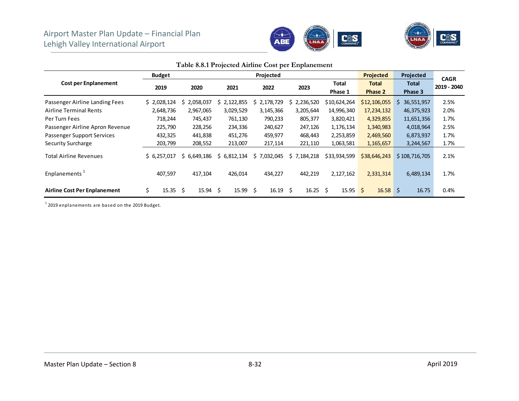



|                                     |               |                          |                 | Table 0.0.1 I rejected Thinne Cost per Emplanement |             |                          |                         |                         |                            |
|-------------------------------------|---------------|--------------------------|-----------------|----------------------------------------------------|-------------|--------------------------|-------------------------|-------------------------|----------------------------|
|                                     | <b>Budget</b> |                          |                 | Projected                                          |             |                          | <b>Projected</b>        | Projected               |                            |
| <b>Cost per Enplanement</b>         | 2019          | 2020                     | 2021            | 2022                                               | 2023        | Total<br>Phase 1         | <b>Total</b><br>Phase 2 | <b>Total</b><br>Phase 3 | <b>CAGR</b><br>2019 - 2040 |
| Passenger Airline Landing Fees      | \$2,028,124   | 2,058,037<br>s           | 2,122,855<br>S. | 2,178,729<br>Ś.                                    | 2,236,520   | \$10,624,264             | \$12,106,055            | 36,551,957<br>S.        | 2.5%                       |
| <b>Airline Terminal Rents</b>       | 2,648,736     | 2,967,065                | 3,029,529       | 3,145,366                                          | 3,205,644   | 14,996,340               | 17,234,132              | 46,375,923              | 2.0%                       |
| Per Turn Fees                       | 718,244       | 745,437                  | 761,130         | 790,233                                            | 805,377     | 3,820,421                | 4,329,855               | 11,651,356              | 1.7%                       |
| Passenger Airline Apron Revenue     | 225,790       | 228,256                  | 234,336         | 240,627                                            | 247,126     | 1,176,134                | 1,340,983               | 4,018,964               | 2.5%                       |
| <b>Passenger Support Services</b>   | 432,325       | 441,838                  | 451,276         | 459,977                                            | 468,443     | 2,253,859                | 2,469,560               | 6,873,937               | 1.7%                       |
| <b>Security Surcharge</b>           | 203,799       | 208,552                  | 213,007         | 217,114                                            | 221,110     | 1,063,581                | 1,165,657               | 3,244,567               | 1.7%                       |
| <b>Total Airline Revenues</b>       | \$6,257,017   | \$6.649.186              | \$6,812,134     | \$7,032,045                                        | \$7,184,218 | \$33,934,599             | \$38,646,243            | \$108,716,705           | 2.1%                       |
| Enplanements <sup>+</sup>           | 407,597       | 417,104                  | 426,014         | 434,227                                            | 442,219     | 2,127,162                | 2,331,314               | 6,489,134               | 1.7%                       |
| <b>Airline Cost Per Enplanement</b> | \$<br>15.35   | $15.94 \quad$ \$<br>- \$ | 15.99           | $16.19 \quad $$<br>\$                              | 16.25       | Ŝ.<br>$15.95\frac{1}{5}$ | $16.58$ \$              | 16.75                   | 0.4%                       |

#### **Table 8.8.1 Projected Airline Cost per Enplanement**

 $1$  2019 enplanements are based on the 2019 Budget.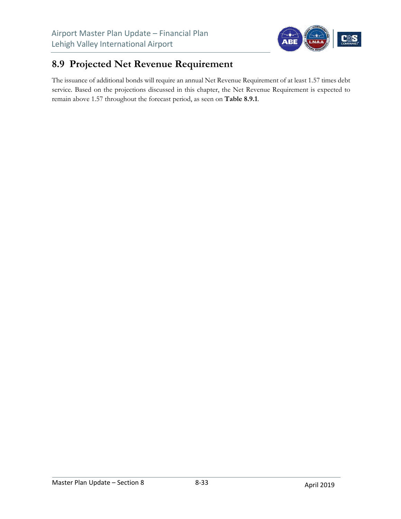

## **8.9 Projected Net Revenue Requirement**

The issuance of additional bonds will require an annual Net Revenue Requirement of at least 1.57 times debt service. Based on the projections discussed in this chapter, the Net Revenue Requirement is expected to remain above 1.57 throughout the forecast period, as seen on **Table 8.9.1**.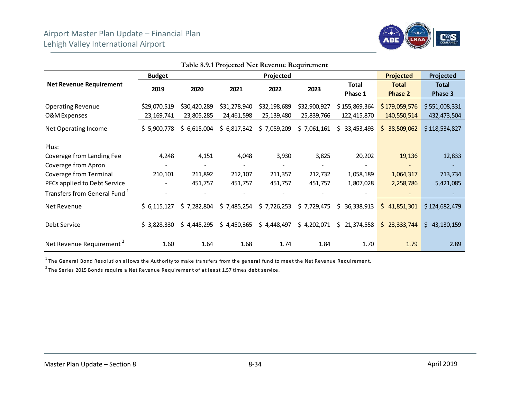

|                                          |               |              |              | <b>1 able 8.9.1 Projected Net Revenue Requirement</b> |              |                   |                  |               |
|------------------------------------------|---------------|--------------|--------------|-------------------------------------------------------|--------------|-------------------|------------------|---------------|
|                                          | <b>Budget</b> |              |              | Projected                                             |              |                   | <b>Projected</b> | Projected     |
| <b>Net Revenue Requirement</b>           | 2019          | 2020         | 2021         | 2022                                                  | 2023         | <b>Total</b>      | <b>Total</b>     | <b>Total</b>  |
|                                          |               |              |              |                                                       |              | Phase 1           | Phase 2          | Phase 3       |
| <b>Operating Revenue</b>                 | \$29,070,519  | \$30,420,289 | \$31,278,940 | \$32,198,689                                          | \$32,900,927 | \$155,869,364     | \$179,059,576    | \$551,008,331 |
| O&M Expenses                             | 23, 169, 741  | 23,805,285   | 24,461,598   | 25,139,480                                            | 25,839,766   | 122,415,870       | 140,550,514      | 432,473,504   |
| Net Operating Income                     | \$5,900,778   | \$6,615,004  | \$6,817,342  | \$7,059,209                                           | \$7,061,161  | 33,453,493<br>\$. | 38,509,062<br>S. | \$118,534,827 |
| Plus:                                    |               |              |              |                                                       |              |                   |                  |               |
| Coverage from Landing Fee                | 4,248         | 4,151        | 4,048        | 3,930                                                 | 3,825        | 20,202            | 19,136           | 12,833        |
| Coverage from Apron                      |               |              |              |                                                       |              |                   |                  |               |
| Coverage from Terminal                   | 210,101       | 211,892      | 212,107      | 211,357                                               | 212,732      | 1,058,189         | 1,064,317        | 713,734       |
| PFCs applied to Debt Service             |               | 451,757      | 451,757      | 451,757                                               | 451,757      | 1,807,028         | 2,258,786        | 5,421,085     |
| Transfers from General Fund <sup>1</sup> |               |              |              |                                                       |              |                   |                  |               |
| Net Revenue                              | \$6,115,127   | \$7,282,804  | \$7,485,254  | \$7,726,253                                           | \$7,729,475  | \$.<br>36,338,913 | \$41,851,301     | \$124,682,479 |
| Debt Service                             | \$3,828,330   | \$4,445,295  | \$4,450,365  | \$4,448,497                                           | \$4,202,071  | Ś.<br>21,374,558  | \$23,333,744     | \$43,130,159  |
| Net Revenue Requirement <sup>2</sup>     | 1.60          | 1.64         | 1.68         | 1.74                                                  | 1.84         | 1.70              | 1.79             | 2.89          |

**Table 8.9.1 Projected Net Revenue Requirement** 

 $1$  The General Bond Resolution allows the Authority to make transfers from the general fund to meet the Net Revenue Requirement.

 $2$  The Series 2015 Bonds require a Net Revenue Requirement of at least 1.57 times debt service.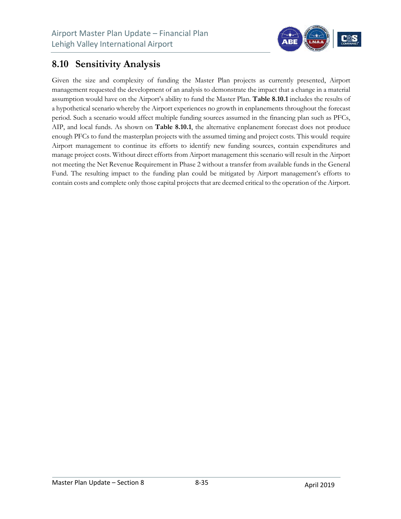

### **8.10 Sensitivity Analysis**

Given the size and complexity of funding the Master Plan projects as currently presented, Airport management requested the development of an analysis to demonstrate the impact that a change in a material assumption would have on the Airport's ability to fund the Master Plan. **Table 8.10.1** includes the results of a hypothetical scenario whereby the Airport experiences no growth in enplanements throughout the forecast period. Such a scenario would affect multiple funding sources assumed in the financing plan such as PFCs, AIP, and local funds. As shown on **Table 8.10.1**, the alternative enplanement forecast does not produce enough PFCs to fund the masterplan projects with the assumed timing and project costs. This would require Airport management to continue its efforts to identify new funding sources, contain expenditures and manage project costs. Without direct efforts from Airport management this scenario will result in the Airport not meeting the Net Revenue Requirement in Phase 2 without a transfer from available funds in the General Fund. The resulting impact to the funding plan could be mitigated by Airport management's efforts to contain costs and complete only those capital projects that are deemed critical to the operation of the Airport.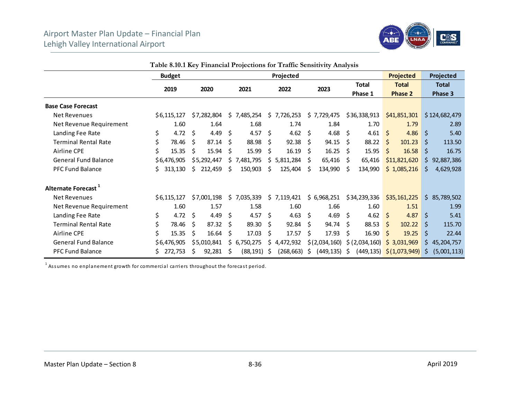#### Airport Master Plan Update – Financial Plan Lehigh Valley International Airport



|                                 |    |               |      |             |     |             |    | Lable 8.10.1 Key Financial Projections for Traffic Sensitivity Analysis |      |                  |    |                           |          |                                                   |     |               |
|---------------------------------|----|---------------|------|-------------|-----|-------------|----|-------------------------------------------------------------------------|------|------------------|----|---------------------------|----------|---------------------------------------------------|-----|---------------|
|                                 |    | <b>Budget</b> |      |             |     |             |    | Projected                                                               |      |                  |    |                           |          | <b>Projected</b>                                  |     | Projected     |
|                                 |    | 2019          |      | 2020        |     | 2021        |    | 2022                                                                    |      | 2023             |    | <b>Total</b>              |          | <b>Total</b>                                      |     | <b>Total</b>  |
|                                 |    |               |      |             |     |             |    |                                                                         |      |                  |    | Phase 1                   |          | <b>Phase 2</b>                                    |     | Phase 3       |
| <b>Base Case Forecast</b>       |    |               |      |             |     |             |    |                                                                         |      |                  |    |                           |          |                                                   |     |               |
| Net Revenues                    |    | \$6,115,127   |      | \$7,282,804 |     | \$7,485,254 |    | \$7,726,253                                                             |      | \$7,729,475      |    | \$36,338,913              |          | \$41,851,301                                      |     | \$124,682,479 |
| Net Revenue Requirement         |    | 1.60          |      | 1.64        |     | 1.68        |    | 1.74                                                                    |      | 1.84             |    | 1.70                      |          | 1.79                                              |     | 2.89          |
| Landing Fee Rate                | \$ | 4.72          | - \$ | 4.49        | \$  | 4.57 \$     |    | 4.62                                                                    | \$   | 4.68 \$          |    | 4.61 \$                   |          | 4.86                                              | \$. | 5.40          |
| <b>Terminal Rental Rate</b>     | \$ | 78.46         | Ŝ.   | 87.14       | Ŝ   | 88.98       | Ŝ. | 92.38                                                                   | Ŝ.   | 94.15            | Ŝ. | 88.22                     | \$       | 101.23                                            | Ŝ.  | 113.50        |
| Airline CPE                     | \$ | 15.35         | Ŝ.   | 15.94       | \$  | 15.99       | \$ | 16.19                                                                   | S.   | $16.25 \quad$ \$ |    | 15.95                     | \$       | 16.58                                             | \$  | 16.75         |
| <b>General Fund Balance</b>     |    | \$6,476,905   |      | \$5,292,447 |     | \$7,481,795 |    | \$5,811,284                                                             | S    | 65,416           | S  | 65,416                    |          | \$11,821,620                                      |     | \$92,887,386  |
| <b>PFC Fund Balance</b>         | S. | 313,130       | Ś.   | 212,459     | Ŝ   | 150,903     | S  | 125,404                                                                 | S    | 134,990          | Ŝ  | 134,990                   |          | \$1,085,216                                       | S.  | 4,629,928     |
| Alternate Forecast <sup>1</sup> |    |               |      |             |     |             |    |                                                                         |      |                  |    |                           |          |                                                   |     |               |
| Net Revenues                    |    | \$6,115,127   |      | \$7,001,198 |     | \$7,035,339 |    | \$7,119,421                                                             |      | \$6,968,251      |    | \$34,239,336              |          | \$35,161,225                                      |     | \$85,789,502  |
| Net Revenue Requirement         |    | 1.60          |      | 1.57        |     | 1.58        |    | 1.60                                                                    |      | 1.66             |    | 1.60                      |          | 1.51                                              |     | 1.99          |
| Landing Fee Rate                | \$ | 4.72          | - \$ | 4.49        | \$  | 4.57 \$     |    | 4.63                                                                    | - \$ | 4.69 \$          |    | 4.62                      | <b>S</b> | 4.87                                              | \$  | 5.41          |
| <b>Terminal Rental Rate</b>     | \$ | 78.46         | -Ŝ   | 87.32       | Ś.  | 89.30       | Ŝ. | 92.84                                                                   | S.   | 94.74 \$         |    | 88.53                     | S.       | 102.22                                            | Ś.  | 115.70        |
| Airline CPE                     | \$ | 15.35         | \$   | 16.64       | \$  | 17.03       | \$ | 17.57                                                                   | Ŝ.   | 17.93            | \$ | 16.90                     | $\zeta$  | 19.25                                             | \$  | 22.44         |
| <b>General Fund Balance</b>     |    | \$6,476,905   |      | \$5,010,841 | \$. | 6,750,275   |    | \$4,472,932                                                             |      | \$(2,034,160)    |    | $\frac{1}{2}$ (2,034,160) |          | \$3,031,969                                       |     | \$45,204,757  |
| PFC Fund Balance                |    | 272,753       | Ŝ    | 92,281      | Ŝ   | (88,191) \$ |    | (268,663) \$                                                            |      | $(449, 135)$ \$  |    |                           |          | $(449, 135)$ $\left( \frac{1,073,949}{2} \right)$ | Ŝ.  | (5,001,113)   |

**Table 8.10.1 Key Financial Projections for Traffic Sensitivity Analysis** 

 $1$  Assumes no enplanement growth for commercial carriers throughout the forecast period.